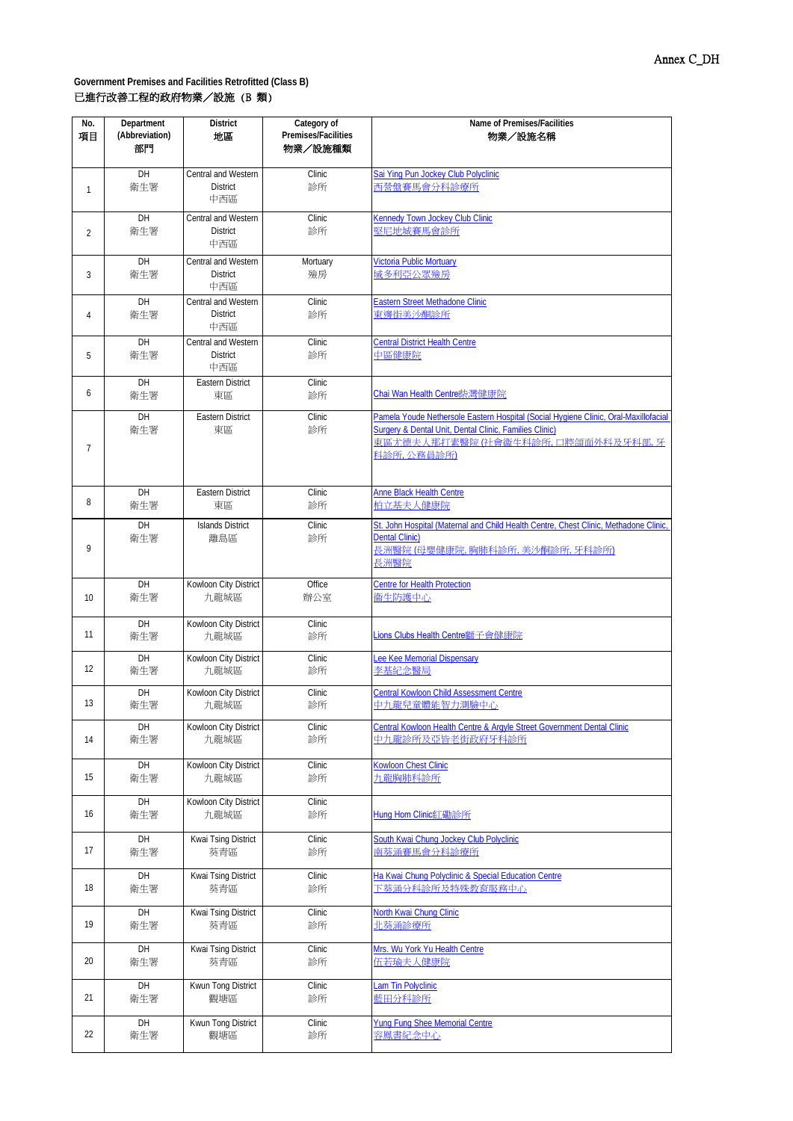| No. | Department     | <b>District</b>                        | Category of         | Name of Premises/Facilities                                                                   |  |
|-----|----------------|----------------------------------------|---------------------|-----------------------------------------------------------------------------------------------|--|
| 項目  | (Abbreviation) | 地區                                     | Premises/Facilities | 物業/設施名稱                                                                                       |  |
|     | 部門             |                                        | 物業/設施種類             |                                                                                               |  |
|     |                |                                        |                     |                                                                                               |  |
|     | DH<br>衛生署      | Central and Western<br><b>District</b> | Clinic<br>診所        | Sai Ying Pun Jockey Club Polyclinic<br>西營盤賽馬會分科診療所                                            |  |
| 1   |                | 中西區                                    |                     |                                                                                               |  |
|     |                |                                        |                     |                                                                                               |  |
|     | DH             | Central and Western                    | Clinic              | Kennedy Town Jockey Club Clinic<br>堅尼地城賽馬會診所                                                  |  |
| 2   | 衛生署            | <b>District</b><br>中西區                 | 診所                  |                                                                                               |  |
|     |                |                                        |                     |                                                                                               |  |
|     | DH             | Central and Western                    | Mortuary            | <b>Victoria Public Mortuary</b>                                                               |  |
| 3   | 衛生署            | <b>District</b><br>中西區                 | 殮房                  | 域多利亞公眾殮房                                                                                      |  |
|     |                | Central and Western                    |                     |                                                                                               |  |
|     | DH<br>衛生署      | <b>District</b>                        | Clinic<br>診所        | <b>Eastern Street Methadone Clinic</b><br>東邊街美沙酮診所                                            |  |
| 4   |                | 中西區                                    |                     |                                                                                               |  |
|     | DH             | Central and Western                    | Clinic              | <b>Central District Health Centre</b>                                                         |  |
| 5   | 衛生署            | <b>District</b>                        | 診所                  | 中區健康院                                                                                         |  |
|     |                | 中西區                                    |                     |                                                                                               |  |
|     | DH             | <b>Eastern District</b>                | Clinic              |                                                                                               |  |
| 6   | 衛生署            | 東區                                     | 診所                  | Chai Wan Health Centre 柴灣健康院                                                                  |  |
|     |                |                                        |                     |                                                                                               |  |
|     | DH             | <b>Eastern District</b>                | Clinic              | Pamela Youde Nethersole Eastern Hospital (Social Hygiene Clinic, Oral-Maxillofacial           |  |
|     | 衛生署            | 東區                                     | 診所                  | Surgery & Dental Unit, Dental Clinic, Families Clinic)<br>東區尤德夫人那打素醫院 (社會衞生科診所, 口腔頜面外科及牙科部, 牙 |  |
| 7   |                |                                        |                     | 科診所,公務員診所)                                                                                    |  |
|     |                |                                        |                     |                                                                                               |  |
|     |                |                                        |                     |                                                                                               |  |
|     | DH             | <b>Eastern District</b>                | Clinic              | <b>Anne Black Health Centre</b>                                                               |  |
| 8   | 衛生署            | 東區                                     | 診所                  | 柏立基夫人健康院                                                                                      |  |
|     | DH             | <b>Islands District</b>                | Clinic              | St. John Hospital (Maternal and Child Health Centre, Chest Clinic, Methadone Clinic           |  |
|     | 衛生署            | 離島區                                    | 診所                  | <b>Dental Clinic)</b>                                                                         |  |
| 9   |                |                                        |                     | 長洲醫院(母嬰健康院,胸肺科診所,美沙酮診所,牙科診所)                                                                  |  |
|     |                |                                        |                     | 長洲醫院                                                                                          |  |
|     | DH             | Kowloon City District                  | Office              | <b>Centre for Health Protection</b>                                                           |  |
| 10  | 衛生署            | 九龍城區                                   | 辦公室                 | 篇生防護中心                                                                                        |  |
|     |                |                                        |                     |                                                                                               |  |
|     | DH             | Kowloon City District                  | Clinic              |                                                                                               |  |
| 11  | 衛生署            | 九龍城區                                   | 診所                  | <b>Lions Clubs Health Centre獅子會健康院</b>                                                        |  |
|     | DH             | Kowloon City District                  | Clinic              | Lee Kee Memorial Dispensary                                                                   |  |
| 12  | 衛生署            | 九龍城區                                   | 診所                  | 李基紀念醫局                                                                                        |  |
|     |                |                                        |                     |                                                                                               |  |
|     | DH             | Kowloon City District                  | Clinic              | <b>Central Kowloon Child Assessment Centre</b>                                                |  |
| 13  | 衛生署            | 九龍城區                                   | 診所                  | 中九龍兒童體能智力測驗中心                                                                                 |  |
|     | DH             | Kowloon City District                  | Clinic              | Central Kowloon Health Centre & Argyle Street Government Dental Clinic                        |  |
| 14  | 衛生署            | 九龍城區                                   | 診所                  | 中九龍診所及亞皆老街政府牙科診所                                                                              |  |
|     |                |                                        |                     |                                                                                               |  |
|     | DH             | Kowloon City District                  | Clinic              | Kowloon Chest Clinic                                                                          |  |
| 15  | 衛生署            | 九龍城區                                   | 診所                  | 九龍胸肺科診所                                                                                       |  |
|     | DH             | Kowloon City District                  | Clinic              |                                                                                               |  |
| 16  | 衛生署            | 九龍城區                                   | 診所                  | Hung Hom Clinic紅磡診所                                                                           |  |
|     |                |                                        |                     |                                                                                               |  |
|     | DH             | Kwai Tsing District                    | Clinic              | South Kwai Chung Jockey Club Polyclinic                                                       |  |
| 17  | 衛生署            | 葵青區                                    | 診所                  | 南葵涌賽馬會分科診療所                                                                                   |  |
|     | DH             | Kwai Tsing District                    | Clinic              | Ha Kwai Chung Polyclinic & Special Education Centre                                           |  |
| 18  | 衛生署            | 葵青區                                    | 診所                  | 下葵涌分科診所及特殊教育服務中心                                                                              |  |
|     |                |                                        |                     |                                                                                               |  |
|     | DH             | Kwai Tsing District                    | Clinic              | North Kwai Chung Clinic                                                                       |  |
| 19  | 衛生署            | 葵青區                                    | 診所                  | 北葵涌診療所                                                                                        |  |
|     |                |                                        |                     |                                                                                               |  |
| 20  | DH             | Kwai Tsing District                    | Clinic              | Mrs. Wu York Yu Health Centre                                                                 |  |
|     | 衛生署            | 葵青區                                    | 診所                  | 伍若瑜夫人健康院                                                                                      |  |
|     | DH             | Kwun Tong District                     | Clinic              | <b>Lam Tin Polyclinic</b>                                                                     |  |
| 21  | 衛生署            | 觀塘區                                    | 診所                  | 藍田分科診所                                                                                        |  |
|     |                |                                        |                     |                                                                                               |  |
|     | DH             | Kwun Tong District                     | Clinic              | Yung Fung Shee Memorial Centre                                                                |  |
| 22  | 衛生署            | 觀塘區                                    | 診所                  | 容鳳書紀念中心                                                                                       |  |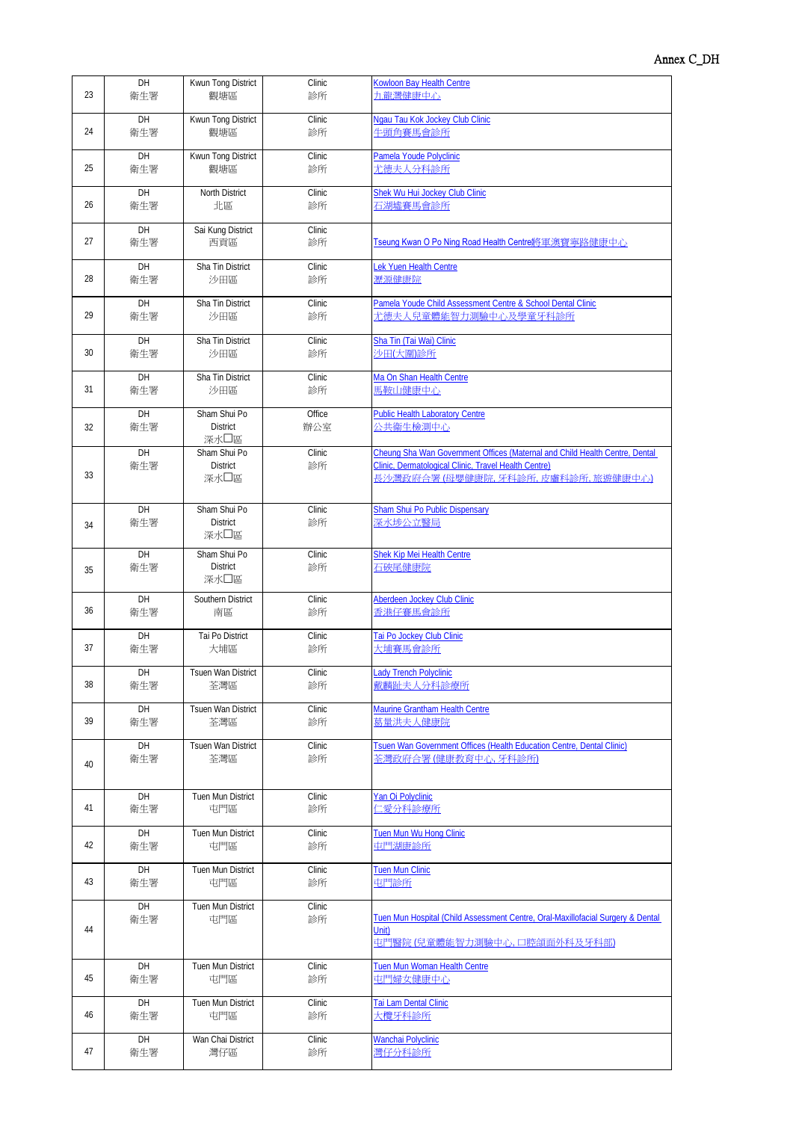| 23 | DH        | Kwun Tong District                      | Clinic        | <b>Kowloon Bay Health Centre</b>                                                                                                                                            |
|----|-----------|-----------------------------------------|---------------|-----------------------------------------------------------------------------------------------------------------------------------------------------------------------------|
|    | 衛生署       | 觀塘區                                     | 診所            | 九龍灣健康中心                                                                                                                                                                     |
| 24 | DH        | Kwun Tong District                      | Clinic        | Ngau Tau Kok Jockey Club Clinic                                                                                                                                             |
|    | 衛生署       | 觀塘區                                     | 診所            | 牛頭角賽馬會診所                                                                                                                                                                    |
| 25 | DH        | Kwun Tong District                      | Clinic        | Pamela Youde Polyclinic                                                                                                                                                     |
|    | 衛生署       | 觀塘區                                     | 診所            | 尤德夫人分科診所                                                                                                                                                                    |
| 26 | DH        | North District                          | Clinic        | Shek Wu Hui Jockey Club Clinic                                                                                                                                              |
|    | 衛生署       | 北區                                      | 診所            | 石湖墟賽馬會診所                                                                                                                                                                    |
| 27 | DH<br>衛生署 | Sai Kung District<br>西貢區                | Clinic<br>診所  | Tseung Kwan O Po Ning Road Health Centre將軍澳寶寧路健康中心                                                                                                                          |
| 28 | DH        | Sha Tin District                        | Clinic        | Lek Yuen Health Centre                                                                                                                                                      |
|    | 衛生署       | 沙田區                                     | 診所            | 瀝源健康院                                                                                                                                                                       |
| 29 | DH        | Sha Tin District                        | Clinic        | Pamela Youde Child Assessment Centre & School Dental Clinic                                                                                                                 |
|    | 衛生署       | 沙田區                                     | 診所            | 尤德夫人兒童體能智力測驗中心及學童牙科診所                                                                                                                                                       |
| 30 | DH        | Sha Tin District                        | Clinic        | Sha Tin (Tai Wai) Clinic                                                                                                                                                    |
|    | 衛生署       | 沙田區                                     | 診所            | 沙田(大圍)診所                                                                                                                                                                    |
| 31 | DH        | Sha Tin District                        | Clinic        | Ma On Shan Health Centre                                                                                                                                                    |
|    | 衛生署       | 沙田區                                     | 診所            | 馬鞍山健康中心                                                                                                                                                                     |
| 32 | DH<br>衛生署 | Sham Shui Po<br><b>District</b><br>深水口區 | Office<br>辦公室 | <b>Public Health Laboratory Centre</b><br>公共衞生檢測中心                                                                                                                          |
| 33 | DH<br>衛生署 | Sham Shui Po<br><b>District</b><br>深水口區 | Clinic<br>診所  | Cheung Sha Wan Government Offices (Maternal and Child Health Centre, Dental<br>Clinic, Dermatological Clinic, Travel Health Centre)<br>長沙灣政府合署 (母嬰健康院, 牙科診所, 皮膚科診所, 旅遊健康中心) |
| 34 | DH<br>衛生署 | Sham Shui Po<br><b>District</b><br>深水口區 | Clinic<br>診所  | <b>Sham Shui Po Public Dispensary</b><br>深水埗公立醫局                                                                                                                            |
| 35 | DH<br>衛生署 | Sham Shui Po<br><b>District</b><br>深水口區 | Clinic<br>診所  | Shek Kip Mei Health Centre<br>石硤尾健康院                                                                                                                                        |
| 36 | DH        | Southern District                       | Clinic        | Aberdeen Jockey Club Clinic                                                                                                                                                 |
|    | 衛生署       | 南區                                      | 診所            | 香港仔賽馬會診所                                                                                                                                                                    |
| 37 | DH        | Tai Po District                         | Clinic        | Tai Po Jockey Club Clinic                                                                                                                                                   |
|    | 衛生署       | 大埔區                                     | 診所            | 大埔賽馬會診所                                                                                                                                                                     |
| 38 | DH        | <b>Tsuen Wan District</b>               | Clinic        | <b>Lady Trench Polyclinic</b>                                                                                                                                               |
|    | 衛生署       | 荃灣區                                     | 診所            | 戴麟趾夫人分科診療所                                                                                                                                                                  |
| 39 | DH        | Tsuen Wan District                      | Clinic        | Maurine Grantham Health Centre                                                                                                                                              |
|    | 衛生署       | 荃灣區                                     | 診所            | 莫量洪夫人健康院                                                                                                                                                                    |
| 40 | DH        | <b>Tsuen Wan District</b>               | Clinic        | Tsuen Wan Government Offices (Health Education Centre, Dental Clinic)                                                                                                       |
|    | 衛生署       | 荃灣區                                     | 診所            | 荃灣政府合署(健康教育中心,牙科診所)                                                                                                                                                         |
| 41 | DH        | Tuen Mun District                       | Clinic        | Yan Oi Polyclinic                                                                                                                                                           |
|    | 衛生署       | 屯門區                                     | 診所            | 仁愛分科診療所                                                                                                                                                                     |
| 42 | DH        | Tuen Mun District                       | Clinic        | Tuen Mun Wu Hong Clinic                                                                                                                                                     |
|    | 衛生署       | 屯門區                                     | 診所            | 一<br>屯門湖 <u>康診所</u>                                                                                                                                                         |
| 43 | DH        | Tuen Mun District                       | Clinic        | <b>Tuen Mun Clinic</b>                                                                                                                                                      |
|    | 衛生署       | 屯門區                                     | 診所            | 屯門診所                                                                                                                                                                        |
| 44 | DH<br>衛生署 | Tuen Mun District<br>屯門區                | Clinic<br>診所  | Tuen Mun Hospital (Child Assessment Centre, Oral-Maxillofacial Surgery & Dental<br>Unit)<br>屯門醫院(兒童體能智力測驗中心,口腔領面外科及牙科部)                                                     |
| 45 | DH        | Tuen Mun District                       | Clinic        | Tuen Mun Woman Health Centre                                                                                                                                                |
|    | 衛生署       | 屯門區                                     | 診所            | 屯門婦女健康中心                                                                                                                                                                    |
| 46 | DH        | Tuen Mun District                       | Clinic        | Tai Lam Dental Clinic                                                                                                                                                       |
|    | 衛生署       | 屯門區                                     | 診所            | 大欖牙科診所                                                                                                                                                                      |
| 47 | DH        | Wan Chai District                       | Clinic        | Wanchai Polyclinic                                                                                                                                                          |
|    | 衛生署       | 灣仔區                                     | 診所            | 彎仔分科診所                                                                                                                                                                      |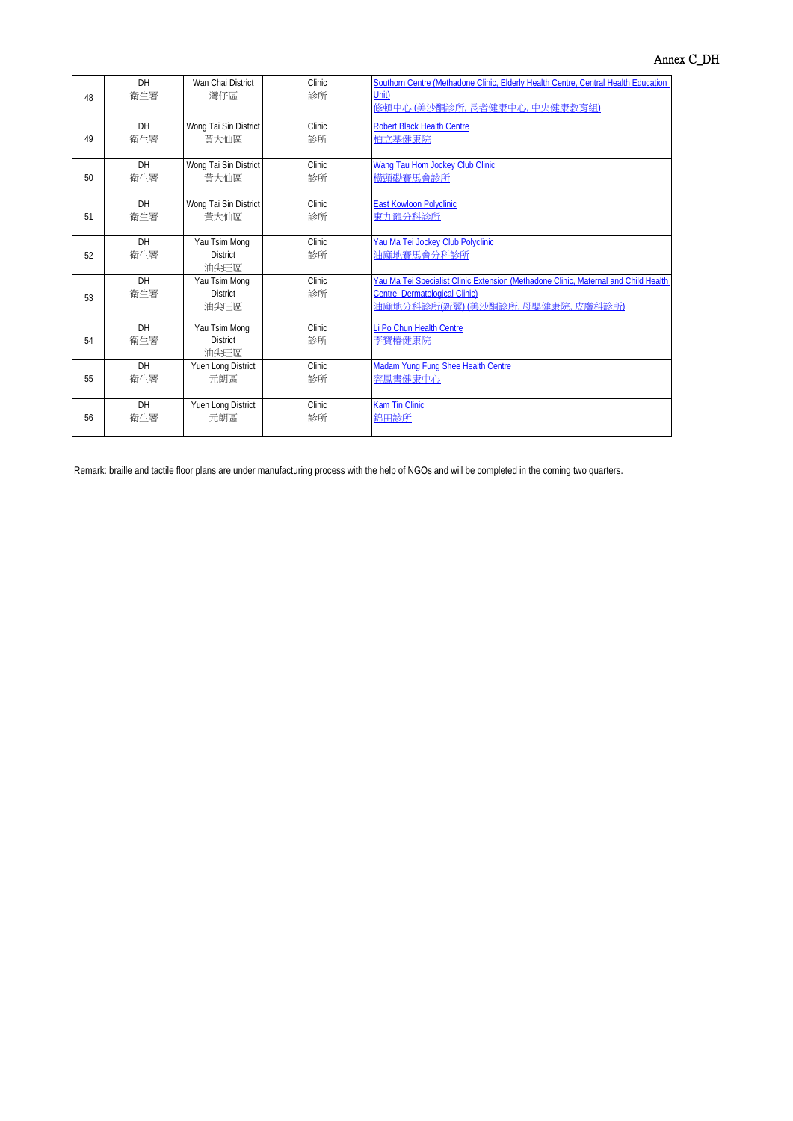|    | DH        | Wan Chai District     | Clinic. | Southorn Centre (Methadone Clinic, Elderly Health Centre, Central Health Education  |
|----|-----------|-----------------------|---------|-------------------------------------------------------------------------------------|
| 48 | 衛牛署       | 灣仔區                   | 診所      | Unit)                                                                               |
|    |           |                       |         | 修頓中心 (美沙酮診所, 長者健康中心, 中央健康教育組)                                                       |
|    | <b>DH</b> | Wong Tai Sin District | Clinic  | <b>Robert Black Health Centre</b>                                                   |
| 49 | 衛牛署       | 黃大仙區                  | 診所      | 柏立基健康院                                                                              |
|    |           |                       |         |                                                                                     |
|    | DH        | Wong Tai Sin District | Clinic  | Wang Tau Hom Jockey Club Clinic                                                     |
| 50 | 衛牛署       | 黃大仙區                  | 診所      | 構頭磡賽馬會診所                                                                            |
|    |           |                       |         |                                                                                     |
|    | DH        | Wong Tai Sin District | Clinic  | <b>East Kowloon Polyclinic</b>                                                      |
| 51 | 衛牛署       | 黃大仙區                  | 診所      | 東九龍分科診所                                                                             |
|    |           |                       |         |                                                                                     |
|    | <b>DH</b> | Yau Tsim Mong         | Clinic. | Yau Ma Tei Jockey Club Polyclinic                                                   |
| 52 | 衛牛署       | <b>District</b>       | 診所      | 油麻地賽馬會分科診所                                                                          |
|    |           | 油尖旺區                  |         |                                                                                     |
|    | DH        | Yau Tsim Mong         | Clinic  | Yau Ma Tei Specialist Clinic Extension (Methadone Clinic, Maternal and Child Health |
| 53 | 衛牛署       | <b>District</b>       | 診所      | Centre, Dermatological Clinic)                                                      |
|    |           | 油尖旺區                  |         | 油麻地分科診所(新翼)(美沙酮診所,母嬰健康院,皮膚科診所)                                                      |
|    | <b>DH</b> | Yau Tsim Mong         | Clinic  | Li Po Chun Health Centre                                                            |
| 54 | 衛牛署       | <b>District</b>       | 診所      | 李寶椿健康院                                                                              |
|    |           | 油尖旺區                  |         |                                                                                     |
|    | <b>DH</b> | Yuen Long District    | Clinic  | Madam Yung Fung Shee Health Centre                                                  |
| 55 | 衛牛署       | 元朗區                   | 診所      | 容鳳書健康中心                                                                             |
|    |           |                       |         |                                                                                     |
|    | <b>DH</b> | Yuen Long District    | Clinic  | Kam Tin Clinic                                                                      |
| 56 | 衛牛署       | 元朗區                   | 診所      | 錦田診所                                                                                |
|    |           |                       |         |                                                                                     |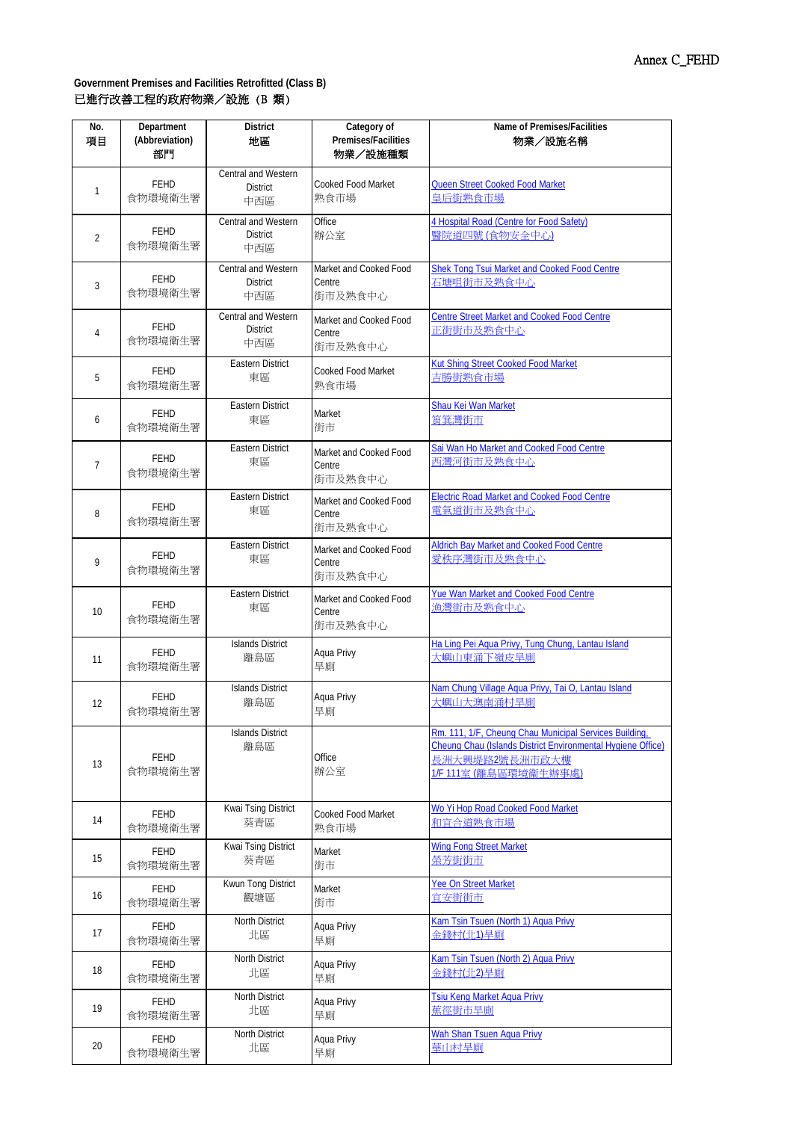| No.<br>項目 | Department<br>(Abbreviation)<br>部門 | <b>District</b><br>地區                         | Category of<br>Premises/Facilities<br>物業/設施種類 | Name of Premises/Facilities<br>物業/設施名稱                                                                                                                           |
|-----------|------------------------------------|-----------------------------------------------|-----------------------------------------------|------------------------------------------------------------------------------------------------------------------------------------------------------------------|
| 1         | <b>FEHD</b><br>食物環境衛生署             | Central and Western<br><b>District</b><br>中西區 | <b>Cooked Food Market</b><br>熟食市場             | Queen Street Cooked Food Market<br>皇后街熟食市場                                                                                                                       |
| 2         | FEHD<br>食物環境衛生署                    | Central and Western<br><b>District</b><br>中西區 | Office<br>辦公室                                 | 4 Hospital Road (Centre for Food Safety)<br>醫院道四號 (食物安全中心)                                                                                                       |
| 3         | FEHD<br>食物環境衛生署                    | Central and Western<br><b>District</b><br>中西區 | Market and Cooked Food<br>Centre<br>街市及熟食中心   | Shek Tong Tsui Market and Cooked Food Centre<br>石塘咀街市及熟食中心                                                                                                       |
| 4         | FEHD<br>食物環境衛生署                    | Central and Western<br><b>District</b><br>中西區 | Market and Cooked Food<br>Centre<br>街市及熟食中心   | <b>Centre Street Market and Cooked Food Centre</b><br>正街街市及熟食中心                                                                                                  |
| 5         | <b>FEHD</b>                        | <b>Eastern District</b>                       | <b>Cooked Food Market</b>                     | <b>Kut Shing Street Cooked Food Market</b>                                                                                                                       |
|           | 食物環境衛生署                            | 東區                                            | 熟食市場                                          | 吉勝街熟食市場                                                                                                                                                          |
| 6         | <b>FEHD</b>                        | <b>Eastern District</b>                       | Market                                        | Shau Kei Wan Market                                                                                                                                              |
|           | 食物環境衛生署                            | 東區                                            | 街市                                            | 筲箕灣街市                                                                                                                                                            |
| 7         | <b>FEHD</b><br>食物環境衛生署             | Eastern District<br>東區                        | Market and Cooked Food<br>Centre<br>街市及熟食中心   | Sai Wan Ho Market and Cooked Food Centre<br>西灣河街市及熟食中心                                                                                                           |
| 8         | <b>FEHD</b><br>食物環境衛生署             | <b>Eastern District</b><br>東區                 | Market and Cooked Food<br>Centre<br>街市及熟食中心   | <b>Electric Road Market and Cooked Food Centre</b><br>重氣道街市及熟食中心                                                                                                 |
| 9         | <b>FEHD</b><br>食物環境衛生署             | <b>Eastern District</b><br>東區                 | Market and Cooked Food<br>Centre<br>街市及熟食中心   | <b>Aldrich Bay Market and Cooked Food Centre</b><br>愛秩序灣街市及熟食中心                                                                                                  |
| 10        | <b>FEHD</b><br>食物環境衛生署             | <b>Eastern District</b><br>東區                 | Market and Cooked Food<br>Centre<br>街市及熟食中心   | Yue Wan Market and Cooked Food Centre<br>漁灣街市及熟食中心                                                                                                               |
| 11        | <b>FEHD</b>                        | <b>Islands District</b>                       | Aqua Privy                                    | Ha Ling Pei Aqua Privy, Tung Chung, Lantau Island                                                                                                                |
|           | 食物環境衛生署                            | 離島區                                           | 旱廁                                            | 大嶼山東涌下嶺皮旱廁                                                                                                                                                       |
| 12        | FEHD                               | <b>Islands District</b>                       | Aqua Privy                                    | Nam Chung Village Agua Privy, Tai O, Lantau Island                                                                                                               |
|           | 食物環境衛生署                            | 離島區                                           | 旱廁                                            | 大嶼山大澳南涌村旱廁                                                                                                                                                       |
| 13        | FEHD<br>食物環境衛生署                    | <b>Islands District</b><br>離島區                | Office<br>辦公室                                 | Rm. 111, 1/F, Cheung Chau Municipal Services Building,<br>Cheung Chau (Islands District Environmental Hygiene Office)<br>長洲大興堤路2號長洲市政大樓<br>1/F 111室 (離島區環境衞生辦事處) |
| 14        | <b>FEHD</b>                        | Kwai Tsing District                           | Cooked Food Market                            | Wo Yi Hop Road Cooked Food Market                                                                                                                                |
|           | 食物環境衛生署                            | 葵青區                                           | 熟食市場                                          | 和宜合道熟食市場                                                                                                                                                         |
| 15        | FEHD                               | Kwai Tsing District                           | Market                                        | <b>Wing Fong Street Market</b>                                                                                                                                   |
|           | 食物環境衛生署                            | 葵青區                                           | 街市                                            | 榮芳街街市                                                                                                                                                            |
| 16        | FEHD                               | Kwun Tong District                            | Market                                        | <b>Yee On Street Market</b>                                                                                                                                      |
|           | 食物環境衛生署                            | 觀塘區                                           | 街市                                            | 宜安街街市                                                                                                                                                            |
| 17        | <b>FEHD</b>                        | North District                                | Aqua Privy                                    | Kam Tsin Tsuen (North 1) Aqua Privy                                                                                                                              |
|           | 食物環境衛生署                            | 北區                                            | 旱廁                                            | 金錢村(北1)旱廁                                                                                                                                                        |
| 18        | FEHD                               | North District                                | Aqua Privy                                    | Kam Tsin Tsuen (North 2) Aqua Privy                                                                                                                              |
|           | 食物環境衛生署                            | 北區                                            | 旱廁                                            | 金錢村(北2)旱廁                                                                                                                                                        |
| 19        | FEHD                               | North District                                | Aqua Privy                                    | <b>Tsiu Keng Market Aqua Privy</b>                                                                                                                               |
|           | 食物環境衛生署                            | 北區                                            | 旱廁                                            | 蕉徑街市旱廁                                                                                                                                                           |
| 20        | FEHD                               | North District                                | Aqua Privy                                    | <b>Wah Shan Tsuen Aqua Privy</b>                                                                                                                                 |
|           | 食物環境衛生署                            | 北區                                            | 旱廁                                            | 華山村旱廁                                                                                                                                                            |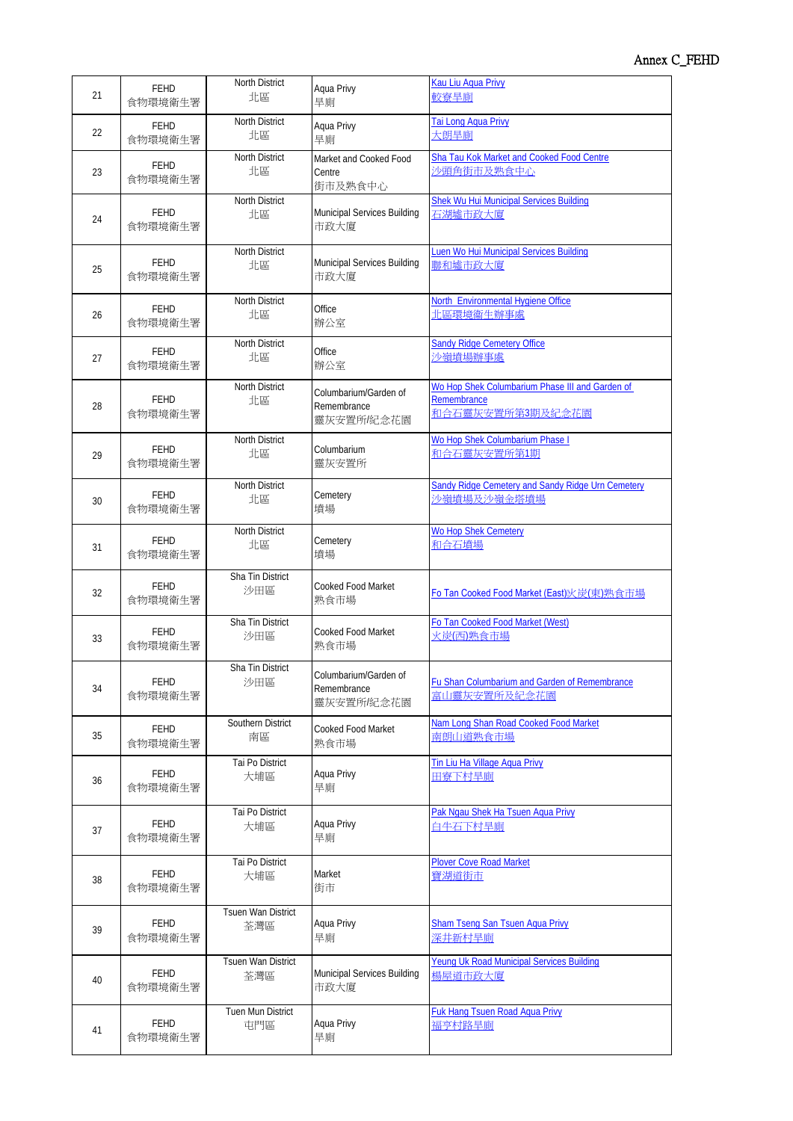| 21 | <b>FEHD</b>            | North District            | Aqua Privy                                        | Kau Liu Agua Privy                                                                 |
|----|------------------------|---------------------------|---------------------------------------------------|------------------------------------------------------------------------------------|
|    | 食物環境衛生署                | 北區                        | 旱廁                                                | 較寮旱廁                                                                               |
| 22 | <b>FEHD</b>            | North District            | Aqua Privy                                        | Tai Long Agua Privy                                                                |
|    | 食物環境衛生署                | 北區                        | 旱廁                                                | 大朗旱廁                                                                               |
| 23 | <b>FEHD</b><br>食物環境衛生署 | North District<br>北區      | Market and Cooked Food<br>Centre<br>街市及熟食中心       | Sha Tau Kok Market and Cooked Food Centre<br>沙頭角街市及熟食中心                            |
| 24 | <b>FEHD</b>            | <b>North District</b>     | Municipal Services Building                       | <b>Shek Wu Hui Municipal Services Building</b>                                     |
|    | 食物環境衛生署                | 北區                        | 市政大廈                                              | 石湖墟市政大廈                                                                            |
| 25 | <b>FEHD</b>            | North District            | Municipal Services Building                       | Luen Wo Hui Municipal Services Building                                            |
|    | 食物環境衛生署                | 北區                        | 市政大廈                                              | 聯和墟市政大廈                                                                            |
| 26 | <b>FEHD</b>            | North District            | Office                                            | North Environmental Hygiene Office                                                 |
|    | 食物環境衛生署                | 北區                        | 辦公室                                               | 北區環境衞生辦事處                                                                          |
| 27 | <b>FEHD</b>            | North District            | Office                                            | <b>Sandy Ridge Cemetery Office</b>                                                 |
|    | 食物環境衛生署                | 北區                        | 辦公室                                               | 沙嶺墳場辦事處                                                                            |
| 28 | <b>FEHD</b><br>食物環境衛生署 | North District<br>北區      | Columbarium/Garden of<br>Remembrance<br>靈灰安置所紀念花園 | Wo Hop Shek Columbarium Phase III and Garden of<br>Remembrance<br>和合石靈灰安置所第3期及紀念花園 |
| 29 | <b>FEHD</b>            | North District            | Columbarium                                       | Wo Hop Shek Columbarium Phase I                                                    |
|    | 食物環境衛生署                | 北區                        | 靈灰安置所                                             | 和合石靈灰安置所第1期                                                                        |
| 30 | FEHD                   | North District            | Cemetery                                          | <b>Sandy Ridge Cemetery and Sandy Ridge Urn Cemetery</b>                           |
|    | 食物環境衛生署                | 北區                        | 墳場                                                | 沙嶺墳場及沙嶺金塔墳場                                                                        |
| 31 | <b>FEHD</b>            | North District            | Cemetery                                          | <b>Wo Hop Shek Cemetery</b>                                                        |
|    | 食物環境衛生署                | 北區                        | 墳場                                                | 和合石墳場                                                                              |
| 32 | <b>FEHD</b><br>食物環境衛生署 | Sha Tin District<br>沙田區   | <b>Cooked Food Market</b><br>熟食市場                 | Fo Tan Cooked Food Market (East) 财炭(東) 孰食市場                                        |
| 33 | <b>FEHD</b>            | Sha Tin District          | <b>Cooked Food Market</b>                         | Fo Tan Cooked Food Market (West)                                                   |
|    | 食物環境衛生署                | 沙田區                       | 熟食市場                                              | 火炭(西)熟食市場                                                                          |
| 34 | FEHD<br>食物環境衛生署        | Sha Tin District<br>沙田區   | Columbarium/Garden of<br>Remembrance<br>靈灰安置所紀念花園 | Fu Shan Columbarium and Garden of Remembrance<br>富山靈灰安置所及紀念花園                      |
| 35 | FEHD                   | Southern District         | Cooked Food Market                                | Nam Long Shan Road Cooked Food Market                                              |
|    | 食物環境衛生署                | 南區                        | 熟食市場                                              | 南朗山道熟食市場                                                                           |
| 36 | <b>FEHD</b>            | Tai Po District           | Aqua Privy                                        | Tin Liu Ha Village Agua Privy                                                      |
|    | 食物環境衛生署                | 大埔區                       | 旱廁                                                | 田寮下村旱廁                                                                             |
| 37 | <b>FEHD</b>            | Tai Po District           | Aqua Privy                                        | Pak Ngau Shek Ha Tsuen Agua Privy                                                  |
|    | 食物環境衛生署                | 大埔區                       | 旱廁                                                | 白牛石下村旱廁                                                                            |
| 38 | FEHD                   | Tai Po District           | Market                                            | <b>Plover Cove Road Market</b>                                                     |
|    | 食物環境衛生署                | 大埔區                       | 街市                                                | 寶湖道街市                                                                              |
| 39 | FEHD                   | Tsuen Wan District        | Aqua Privy                                        | <b>Sham Tseng San Tsuen Aqua Privy</b>                                             |
|    | 食物環境衛生署                | 荃灣區                       | 旱廁                                                | 深井新村旱廁                                                                             |
| 40 | FEHD                   | <b>Tsuen Wan District</b> | Municipal Services Building                       | <b>Yeung Uk Road Municipal Services Building</b>                                   |
|    | 食物環境衛生署                | 荃灣區                       | 市政大廈                                              | 楊屋道市政大廈                                                                            |
| 41 | FEHD                   | Tuen Mun District         | Aqua Privy                                        | <b>Fuk Hang Tsuen Road Aqua Privy</b>                                              |
|    | 食物環境衛生署                | 屯門區                       | 旱廁                                                | 福亨村路旱廁                                                                             |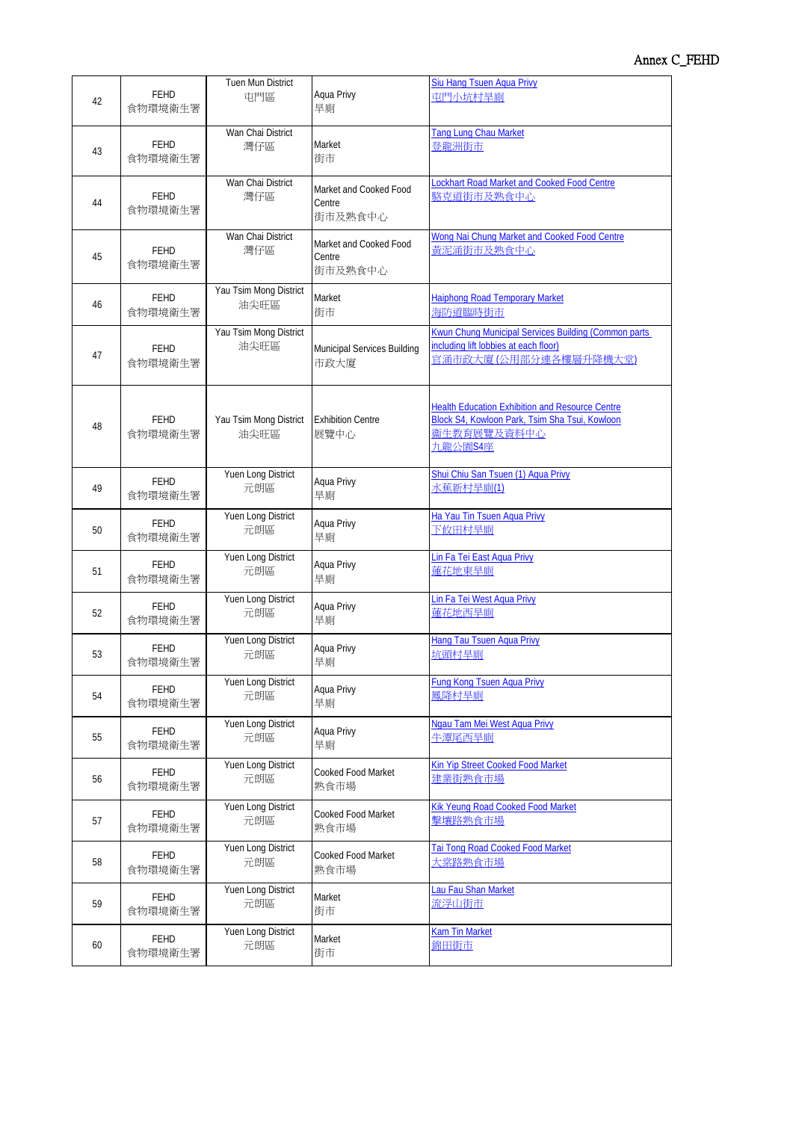| 42 | FEHD                   | Tuen Mun District              | Aqua Privy                                  | Siu Hang Tsuen Aqua Privy                                                                                                          |
|----|------------------------|--------------------------------|---------------------------------------------|------------------------------------------------------------------------------------------------------------------------------------|
|    | 食物環境衛生署                | 屯門區                            | 旱廁                                          | 屯門小坑村旱廁                                                                                                                            |
| 43 | <b>FEHD</b>            | Wan Chai District              | Market                                      | Tang Lung Chau Market                                                                                                              |
|    | 食物環境衛生署                | 灣仔區                            | 街市                                          | 登龍洲街市                                                                                                                              |
| 44 | <b>FEHD</b><br>食物環境衛生署 | Wan Chai District<br>灣仔區       | Market and Cooked Food<br>Centre<br>街市及熟食中心 | Lockhart Road Market and Cooked Food Centre<br>駱克道街市及熟食中心                                                                          |
| 45 | <b>FEHD</b><br>食物環境衛生署 | Wan Chai District<br>灣仔區       | Market and Cooked Food<br>Centre<br>街市及熟食中心 | Wong Nai Chung Market and Cooked Food Centre<br>黄泥涌街市及熟食中心                                                                         |
| 46 | <b>FEHD</b>            | Yau Tsim Mong District         | Market                                      | <b>Haiphong Road Temporary Market</b>                                                                                              |
|    | 食物環境衛生署                | 油尖旺區                           | 街市                                          | 海防道臨時街市                                                                                                                            |
| 47 | <b>FEHD</b><br>食物環境衛生署 | Yau Tsim Mong District<br>油尖旺區 | Municipal Services Building<br>市政大廈         | Kwun Chung Municipal Services Building (Common parts<br>including lift lobbies at each floor)<br>官涌市政大廈(公用部分連各樓層升降機大堂)             |
| 48 | FEHD<br>食物環境衛生署        | Yau Tsim Mong District<br>油尖旺區 | <b>Exhibition Centre</b><br>展覽中心            | <b>Health Education Exhibition and Resource Centre</b><br>Block S4, Kowloon Park, Tsim Sha Tsui, Kowloon<br>衞生教育展覽及資料中心<br>九龍公園S4座 |
| 49 | FEHD                   | Yuen Long District             | Aqua Privy                                  | Shui Chiu San Tsuen (1) Aqua Privy                                                                                                 |
|    | 食物環境衛生署                | 元朗區                            | 旱廁                                          | 水蕉新村旱廁(1)                                                                                                                          |
| 50 | <b>FEHD</b>            | Yuen Long District             | Aqua Privy                                  | Ha Yau Tin Tsuen Aqua Privy                                                                                                        |
|    | 食物環境衛生署                | 元朗區                            | 旱廁                                          | 下攸田村旱廁                                                                                                                             |
| 51 | <b>FEHD</b>            | Yuen Long District             | Aqua Privy                                  | Lin Fa Tei East Aqua Privy                                                                                                         |
|    | 食物環境衛生署                | 元朗區                            | 旱廁                                          | 蓮花地東旱廁                                                                                                                             |
| 52 | <b>FEHD</b>            | Yuen Long District             | Aqua Privy                                  | Lin Fa Tei West Aqua Privy                                                                                                         |
|    | 食物環境衛生署                | 元朗區                            | 旱廁                                          | 蓮花地西旱廁                                                                                                                             |
| 53 | <b>FEHD</b>            | Yuen Long District             | Aqua Privy                                  | <b>Hang Tau Tsuen Agua Privy</b>                                                                                                   |
|    | 食物環境衛生署                | 元朗區                            | 旱廁                                          | 坑頭村旱廁                                                                                                                              |
| 54 | FEHD                   | Yuen Long District             | Aqua Privy                                  | Fung Kong Tsuen Aqua Privy                                                                                                         |
|    | 食物環境衛生署                | 元朗區                            | 旱廁                                          | 鳳降村旱廁                                                                                                                              |
| 55 | <b>FEHD</b>            | Yuen Long District             | Aqua Privy                                  | Ngau Tam Mei West Agua Privy                                                                                                       |
|    | 食物環境衛生署                | 元朗區                            | 旱廁                                          | 牛潭尾西旱廁                                                                                                                             |
| 56 | FEHD                   | Yuen Long District             | Cooked Food Market                          | Kin Yip Street Cooked Food Market                                                                                                  |
|    | 食物環境衛生署                | 元朗區                            | 熟食市場                                        | 建業街熟食市場                                                                                                                            |
| 57 | FEHD                   | Yuen Long District             | Cooked Food Market                          | Kik Yeung Road Cooked Food Market                                                                                                  |
|    | 食物環境衛生署                | 元朗區                            | 熟食市場                                        | 擊壤路熟食市場                                                                                                                            |
| 58 | FEHD                   | Yuen Long District             | Cooked Food Market                          | Tai Tong Road Cooked Food Market                                                                                                   |
|    | 食物環境衛生署                | 元朗區                            | 熟食市場                                        | 大 <u>棠路熟食市場</u>                                                                                                                    |
| 59 | FEHD                   | Yuen Long District             | Market                                      | Lau Fau Shan Market                                                                                                                |
|    | 食物環境衛生署                | 元朗區                            | 街市                                          | 流浮山街市                                                                                                                              |
| 60 | <b>FEHD</b>            | Yuen Long District             | Market                                      | <b>Kam Tin Market</b>                                                                                                              |
|    | 食物環境衛生署                | 元朗區                            | 街市                                          | 錦田街市                                                                                                                               |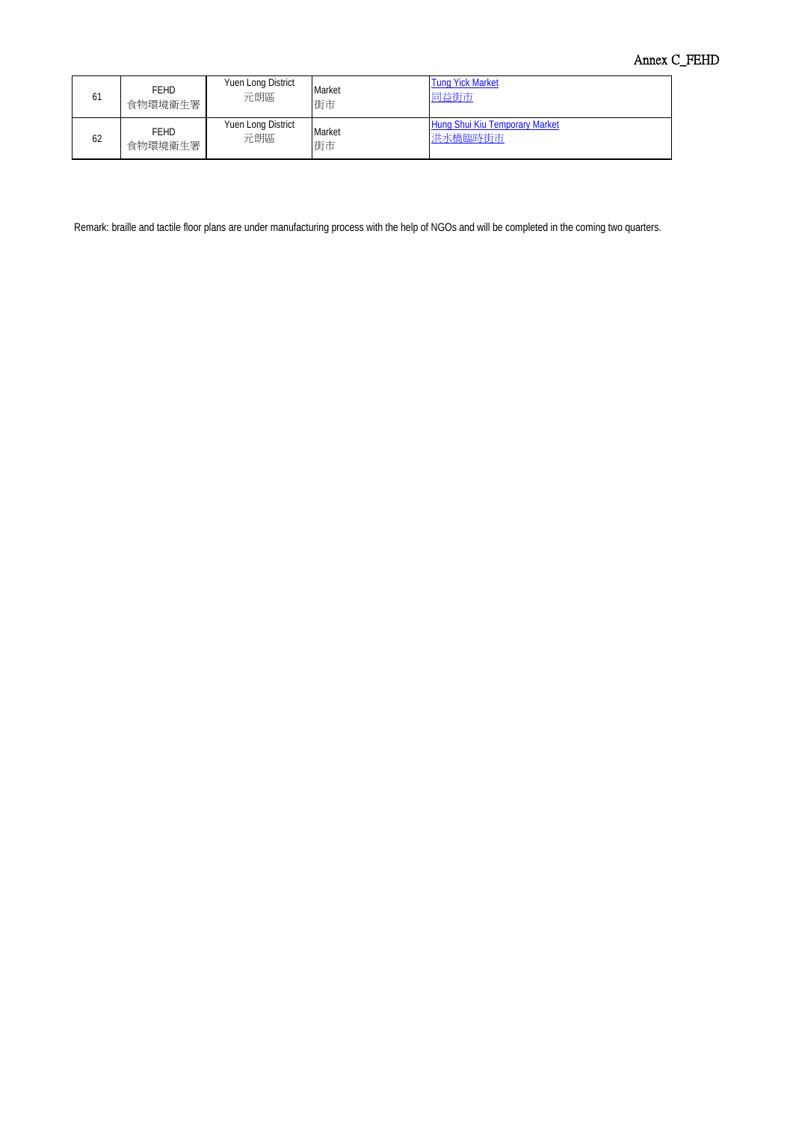# Annex C\_FEHD

| 61 | <b>FEHD</b> | Yuen Long District | Market | <b>Tung Yick Market</b>        |
|----|-------------|--------------------|--------|--------------------------------|
|    | 食物環境衛生署     | 元朗區                | 街市     | 同益街市                           |
| 62 | <b>FFHD</b> | Yuen Long District | Market | Hung Shui Kiu Temporary Market |
|    | 食物環境衛生署     | 元朗區                | 街市     | 洪水橋臨時街市                        |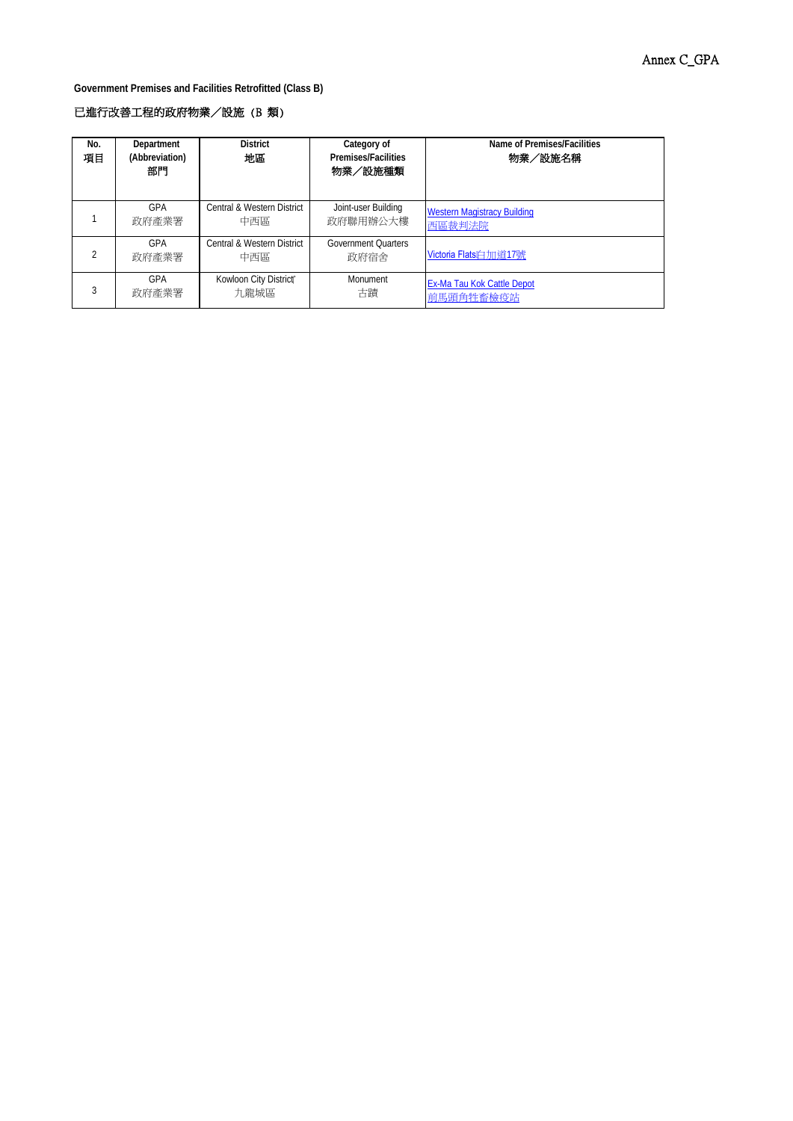**Government Premises and Facilities Retrofitted (Class B)**

# 已進行改善工程的政府物業/設施 (B 類)

| No.<br>項目 | Department<br>(Abbreviation)<br>部門 | <b>District</b><br>地區             | Category of<br><b>Premises/Facilities</b><br>物業/設施種類 | Name of Premises/Facilities<br>物業/設施名稱 |
|-----------|------------------------------------|-----------------------------------|------------------------------------------------------|----------------------------------------|
|           | GPA                                | Central & Western District        | Joint-user Building                                  | <b>Western Magistracy Building</b>     |
|           | 政府產業署                              | 中西區                               | 政府聯用辦公大樓                                             | 西區裁判法院                                 |
|           | GPA<br>政府產業署                       | Central & Western District<br>中西區 | <b>Government Ouarters</b><br>政府宿舍                   | Victoria Flatsi白加道17號                  |
|           | GPA                                | Kowloon City District             | <b>Monument</b>                                      | Ex-Ma Tau Kok Cattle Depot             |
|           | 政府產業署                              | 九龍城區                              | 古蹟                                                   | 前馬頭角牲畜檢疫站                              |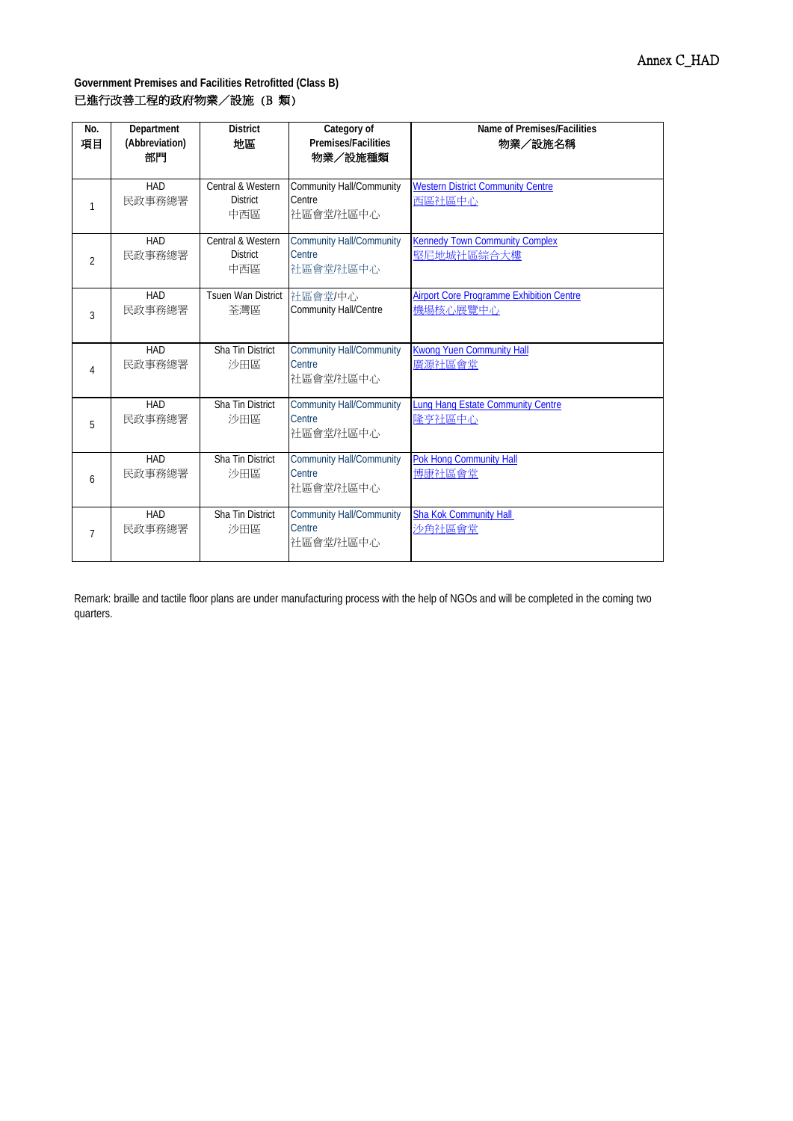| No.<br>項目      | Department<br>(Abbreviation)<br>部門 | <b>District</b><br>地區                       | Category of<br><b>Premises/Facilities</b><br>物業/設施種類   | Name of Premises/Facilities<br>物業/設施名稱                      |
|----------------|------------------------------------|---------------------------------------------|--------------------------------------------------------|-------------------------------------------------------------|
| 1              | HAD<br>民政事務總署                      | Central & Western<br><b>District</b><br>中西區 | Community Hall/Community<br>Centre<br>社區會堂/社區中心        | <b>Western District Community Centre</b><br>西區社區中心          |
| $\overline{2}$ | HAD<br>民政事務總署                      | Central & Western<br><b>District</b><br>中西區 | <b>Community Hall/Community</b><br>Centre<br>社區會堂/社區中心 | <b>Kennedy Town Community Complex</b><br>堅尼地城社區綜合大樓         |
| $\overline{3}$ | HAD<br>民政事務總署                      | <b>Tsuen Wan District</b><br>荃灣區            | 社區會堂/中心<br><b>Community Hall/Centre</b>                | <b>Airport Core Programme Exhibition Centre</b><br>機場核心展覽中心 |
| $\overline{4}$ | HAD<br>民政事務總署                      | Sha Tin District<br>沙田區                     | <b>Community Hall/Community</b><br>Centre<br>社區會堂/社區中心 | <b>Kwong Yuen Community Hall</b><br>廣源社區會堂                  |
| 5              | HAD<br>民政事務總署                      | Sha Tin District<br>沙田區                     | <b>Community Hall/Community</b><br>Centre<br>社區會堂/社區中心 | <b>Lung Hang Estate Community Centre</b><br>降亨社區中心          |
| 6              | HAD<br>民政事務總署                      | Sha Tin District<br>沙田區                     | <b>Community Hall/Community</b><br>Centre<br>社區會堂/社區中心 | <b>Pok Hong Community Hall</b><br>博康社區會堂                    |
| $\overline{7}$ | HAD<br>民政事務總署                      | Sha Tin District<br>沙田區                     | <b>Community Hall/Community</b><br>Centre<br>社區會堂/社區中心 | <b>Sha Kok Community Hall</b><br>沙角社區會堂                     |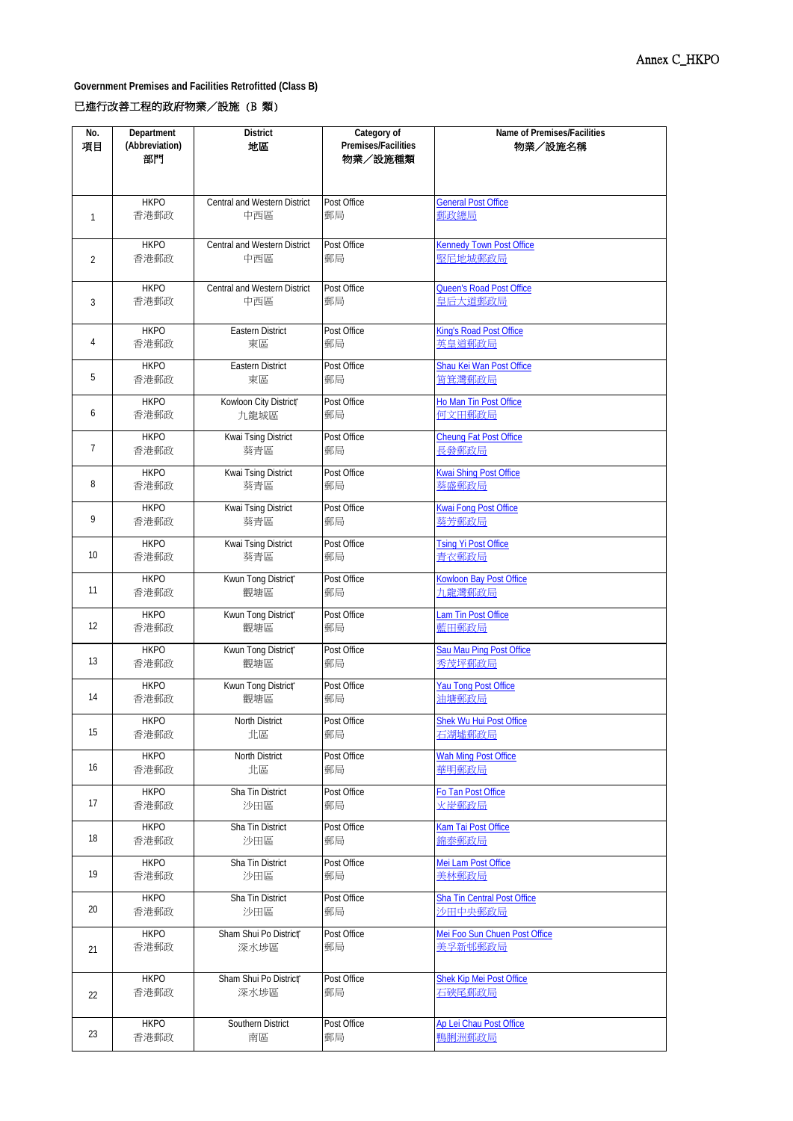**Government Premises and Facilities Retrofitted (Class B)**

## 已進行改善工程的政府物業/設施 (B 類)

| No.            | Department     | <b>District</b>              | Category of         | Name of Premises/Facilities          |
|----------------|----------------|------------------------------|---------------------|--------------------------------------|
| 項目             | (Abbreviation) | 地區                           | Premises/Facilities | 物業/設施名稱                              |
|                | 部門             |                              | 物業/設施種類             |                                      |
|                |                |                              |                     |                                      |
|                |                |                              |                     |                                      |
|                | <b>HKPO</b>    | Central and Western District | Post Office         | <b>General Post Office</b>           |
| 1              | 香港郵政           | 中西區                          | 郵局                  | 郵政總局                                 |
|                |                |                              |                     |                                      |
|                | <b>HKPO</b>    | Central and Western District | Post Office         | <b>Kennedy Town Post Office</b>      |
| $\overline{2}$ | 香港郵政           | 中西區                          | 郵局                  | 堅尼地城郵政局                              |
|                |                |                              |                     |                                      |
|                | <b>HKPO</b>    | Central and Western District | Post Office         | <b>Queen's Road Post Office</b>      |
| 3              | 香港郵政           | 中西區                          | 郵局                  | 皇后大道郵政局                              |
|                |                |                              |                     |                                      |
|                | <b>HKPO</b>    | <b>Eastern District</b>      | Post Office         | King's Road Post Office              |
| 4              | 香港郵政           | 東區                           | 郵局                  | 英皇道郵政局                               |
|                | <b>HKPO</b>    | <b>Eastern District</b>      | Post Office         | Shau Kei Wan Post Office             |
| 5              | 香港郵政           | 東區                           | 郵局                  | 筲箕灣郵政局                               |
|                |                |                              |                     |                                      |
|                | <b>HKPO</b>    | Kowloon City District®       | Post Office         | Ho Man Tin Post Office               |
| 6              | 香港郵政           | 九龍城區                         | 郵局                  | 何文田郵政局                               |
|                | <b>HKPO</b>    | Kwai Tsing District          | Post Office         | <b>Cheung Fat Post Office</b>        |
| 7              | 香港郵政           | 葵青區                          | 郵局                  | 長發郵政局                                |
|                |                |                              |                     |                                      |
|                | <b>HKPO</b>    | Kwai Tsing District          | Post Office         | Kwai Shing Post Office               |
| 8              | 香港郵政           | 葵青區                          | 郵局                  | 葵盛郵政局                                |
|                | <b>HKPO</b>    | Kwai Tsing District          | Post Office         | <b>Kwai Fong Post Office</b>         |
| 9              | 香港郵政           | 葵青區                          | 郵局                  | 葵芳郵政局                                |
|                |                |                              |                     |                                      |
|                | <b>HKPO</b>    | Kwai Tsing District          | Post Office         | <b>Tsing Yi Post Office</b>          |
| 10             | 香港郵政           | 葵青區                          | 郵局                  | 青衣郵政局                                |
|                | <b>HKPO</b>    | Kwun Tong District®          | Post Office         | <b>Kowloon Bay Post Office</b>       |
| 11             | 香港郵政           | 觀塘區                          | 郵局                  | 九龍灣郵政局                               |
|                |                |                              |                     |                                      |
| 12             | <b>HKPO</b>    | Kwun Tong District*          | Post Office         | Lam Tin Post Office<br>藍田郵政局         |
|                | 香港郵政           | 觀塘區                          | 郵局                  |                                      |
|                | <b>HKPO</b>    | Kwun Tong District*          | Post Office         | Sau Mau Ping Post Office             |
| 13             | 香港郵政           | 觀塘區                          | 郵局                  | 秀茂坪郵政局                               |
|                | <b>HKPO</b>    | Kwun Tong District®          | Post Office         |                                      |
| 14             | 香港郵政           |                              | 郵局                  | <b>Yau Tong Post Office</b><br>油塘郵政局 |
|                |                | 觀塘區                          |                     |                                      |
|                | <b>HKPO</b>    | North District               | Post Office         | <b>Shek Wu Hui Post Office</b>       |
| 15             | 香港郵政           | 北區                           | 郵局                  | 石湖墟郵政局                               |
|                | <b>HKPO</b>    | North District               | Post Office         | <b>Wah Ming Post Office</b>          |
| 16             | 香港郵政           | 北區                           | 郵局                  | 華明郵政局                                |
|                |                |                              |                     |                                      |
|                | <b>HKPO</b>    | Sha Tin District             | Post Office         | Fo Tan Post Office                   |
| 17             | 香港郵政           | 沙田區                          | 郵局                  | 火炭郵政局                                |
|                | <b>HKPO</b>    | Sha Tin District             | Post Office         | Kam Tai Post Office                  |
| 18             | 香港郵政           | 沙田區                          | 郵局                  | 錦泰郵政局                                |
|                |                |                              |                     |                                      |
|                | <b>HKPO</b>    | Sha Tin District             | Post Office         | Mei Lam Post Office                  |
| 19             | 香港郵政           | 沙田區                          | 郵局                  | 美林郵政局                                |
|                | <b>HKPO</b>    | Sha Tin District             | Post Office         | <b>Sha Tin Central Post Office</b>   |
| 20             | 香港郵政           | 沙田區                          | 郵局                  | 沙田中央郵政局                              |
|                |                |                              |                     |                                      |
|                | <b>HKPO</b>    | Sham Shui Po District®       | Post Office         | Mei Foo Sun Chuen Post Office        |
| 21             | 香港郵政           | 深水埗區                         | 郵局                  | 美孚新邨郵政局                              |
|                |                |                              |                     |                                      |
|                | <b>HKPO</b>    | Sham Shui Po District®       | Post Office         | <b>Shek Kip Mei Post Office</b>      |
| 22             | 香港郵政           | 深水埗區                         | 郵局                  | 石硤尾郵政局                               |
|                |                |                              |                     |                                      |
|                | <b>HKPO</b>    | Southern District            | Post Office         | Ap Lei Chau Post Office              |
| 23             | 香港郵政           | 南區                           | 郵局                  | 鴨脷洲郵政局                               |
|                |                |                              |                     |                                      |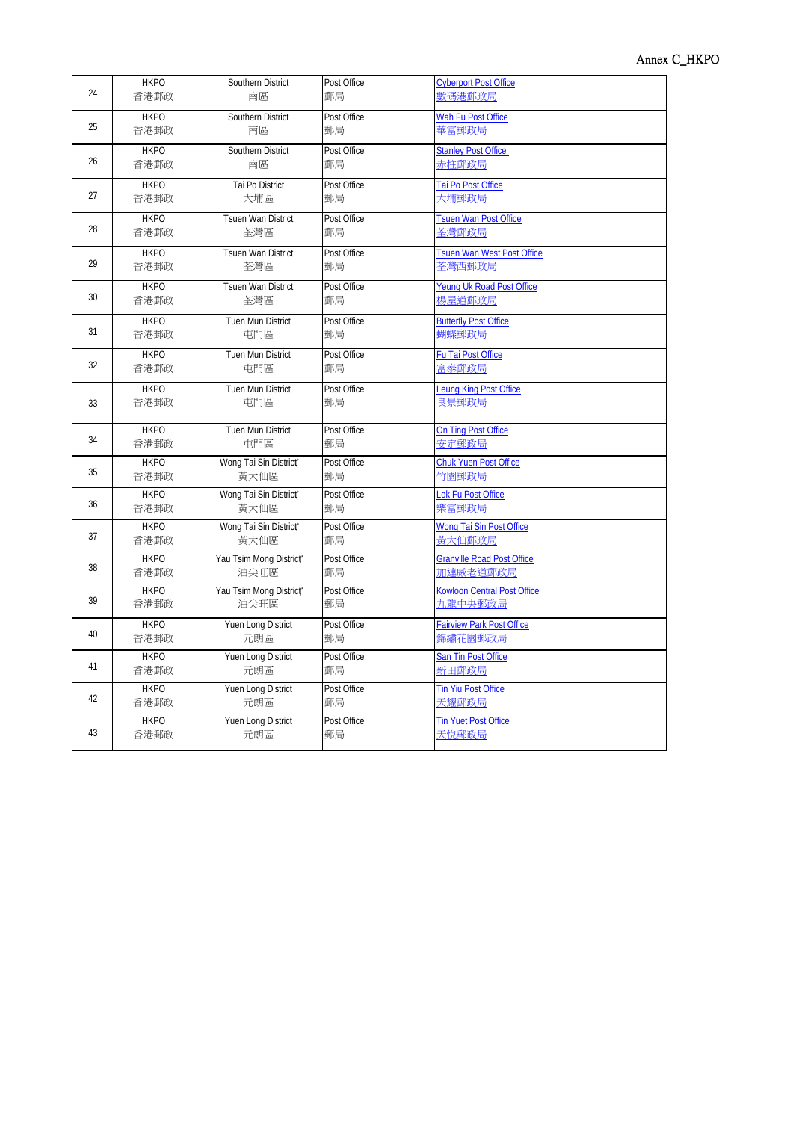| 24 | <b>HKPO</b> | Southern District         | Post Office | <b>Cyberport Post Office</b>       |
|----|-------------|---------------------------|-------------|------------------------------------|
|    | 香港郵政        | 南區                        | 郵局          | 數碼港郵政局                             |
| 25 | <b>HKPO</b> | Southern District         | Post Office | Wah Fu Post Office                 |
|    | 香港郵政        | 南區                        | 郵局          | 華富郵政局                              |
| 26 | <b>HKPO</b> | Southern District         | Post Office | <b>Stanley Post Office</b>         |
|    | 香港郵政        | 南區                        | 郵局          | 赤柱郵政局                              |
| 27 | <b>HKPO</b> | Tai Po District           | Post Office | Tai Po Post Office                 |
|    | 香港郵政        | 大埔區                       | 郵局          | 大埔郵政局                              |
| 28 | <b>HKPO</b> | <b>Tsuen Wan District</b> | Post Office | <b>Tsuen Wan Post Office</b>       |
|    | 香港郵政        | 荃灣區                       | 郵局          | 荃灣郵政局                              |
| 29 | <b>HKPO</b> | Tsuen Wan District        | Post Office | <b>Tsuen Wan West Post Office</b>  |
|    | 香港郵政        | 荃灣區                       | 郵局          | 荃灣西郵政局                             |
| 30 | <b>HKPO</b> | <b>Tsuen Wan District</b> | Post Office | Yeung Uk Road Post Office          |
|    | 香港郵政        | 荃灣區                       | 郵局          | 楊屋道郵政局                             |
| 31 | <b>HKPO</b> | <b>Tuen Mun District</b>  | Post Office | <b>Butterfly Post Office</b>       |
|    | 香港郵政        | 屯門區                       | 郵局          | 蝴蝶郵政局                              |
| 32 | <b>HKPO</b> | Tuen Mun District         | Post Office | Fu Tai Post Office                 |
|    | 香港郵政        | 屯門區                       | 郵局          | 富泰郵政局                              |
| 33 | <b>HKPO</b> | Tuen Mun District         | Post Office | Leung King Post Office             |
|    | 香港郵政        | 屯門區                       | 郵局          | 一<br>良 <u>景郵政局</u>                 |
| 34 | <b>HKPO</b> | Tuen Mun District         | Post Office | On Ting Post Office                |
|    | 香港郵政        | 屯門區                       | 郵局          | 安定郵政局                              |
| 35 | <b>HKPO</b> | Wong Tai Sin District®    | Post Office | <b>Chuk Yuen Post Office</b>       |
|    | 香港郵政        | 黃大仙區                      | 郵局          | 竹園郵政局                              |
| 36 | <b>HKPO</b> | Wong Tai Sin District®    | Post Office | Lok Fu Post Office                 |
|    | 香港郵政        | 黃大仙區                      | 郵局          | 樂富郵政局                              |
| 37 | <b>HKPO</b> | Wong Tai Sin District®    | Post Office | Wong Tai Sin Post Office           |
|    | 香港郵政        | 黃大仙區                      | 郵局          | 黃大仙郵政局                             |
| 38 | <b>HKPO</b> | Yau Tsim Mong District®   | Post Office | <b>Granville Road Post Office</b>  |
|    | 香港郵政        | 油尖旺區                      | 郵局          | 加連威老道郵政局                           |
| 39 | <b>HKPO</b> | Yau Tsim Mong District®   | Post Office | <b>Kowloon Central Post Office</b> |
|    | 香港郵政        | 油尖旺區                      | 郵局          | 九龍中央郵政局                            |
| 40 | <b>HKPO</b> | Yuen Long District        | Post Office | <b>Fairview Park Post Office</b>   |
|    | 香港郵政        | 元朗區                       | 郵局          | 錦繡花園郵政局                            |
| 41 | <b>HKPO</b> | Yuen Long District        | Post Office | San Tin Post Office                |
|    | 香港郵政        | 元朗區                       | 郵局          | 新田郵政局                              |
| 42 | <b>HKPO</b> | Yuen Long District        | Post Office | <b>Tin Yiu Post Office</b>         |
|    | 香港郵政        | 元朗區                       | 郵局          | 天耀郵政局                              |
| 43 | <b>HKPO</b> | Yuen Long District        | Post Office | <b>Tin Yuet Post Office</b>        |
|    | 香港郵政        | 元朗區                       | 郵局          | 天悅郵政局                              |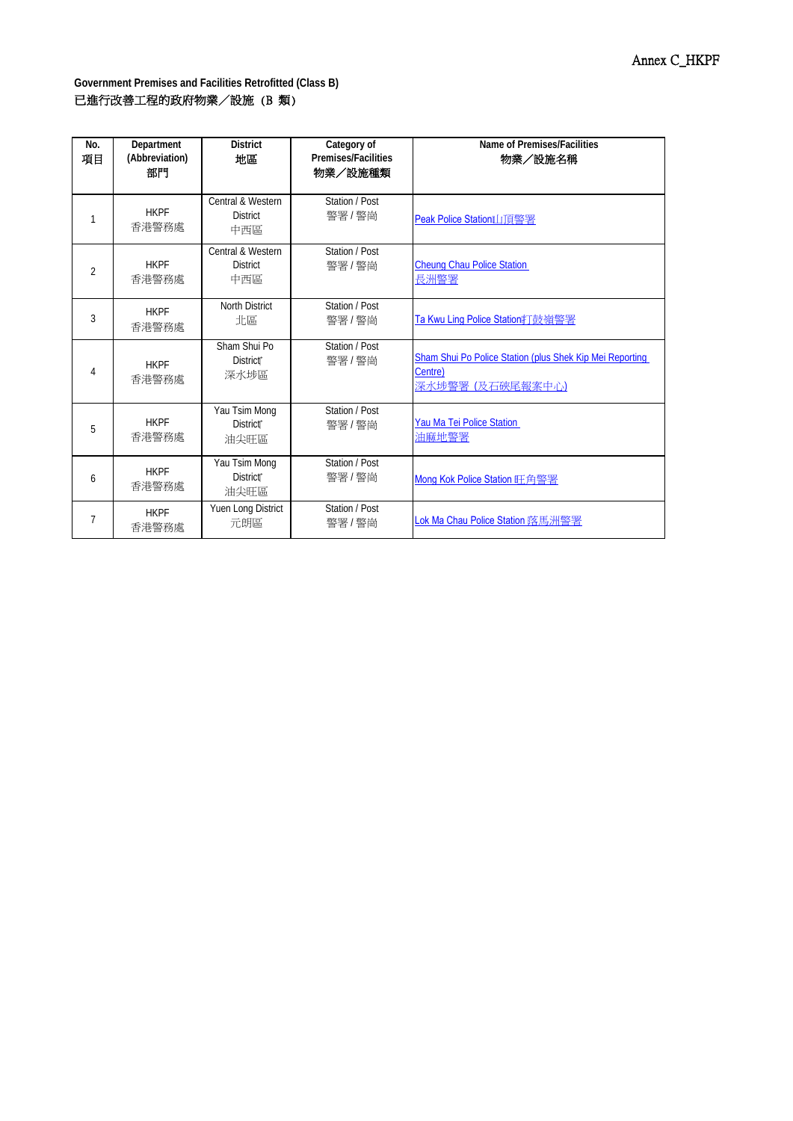| No.<br>項目      | Department<br>(Abbreviation)<br>部門 | <b>District</b><br>地區                         | Category of<br><b>Premises/Facilities</b><br>物業/設施種類 | Name of Premises/Facilities<br>物業/設施名稱                                                 |
|----------------|------------------------------------|-----------------------------------------------|------------------------------------------------------|----------------------------------------------------------------------------------------|
| 1              | <b>HKPF</b><br>香港警務處               | Central & Western<br><b>District</b><br>中西區   | Station / Post<br>警署 / 警崗                            | Peak Police Station』[J] 頂警署                                                            |
| $\overline{2}$ | <b>HKPF</b><br>香港警務處               | Central & Western<br><b>District</b><br>中西區   | Station / Post<br>警署 / 警崗                            | <b>Cheung Chau Police Station</b><br>長洲警署                                              |
| 3              | <b>HKPF</b><br>香港警務處               | <b>North District</b><br>北區                   | Station / Post<br>警署 / 警崗                            | Ta Kwu Ling Police Station打鼓嶺警署                                                        |
| 4              | <b>HKPF</b><br>香港警務處               | Sham Shui Po<br>District <sup>®</sup><br>深水埗區 | Station / Post<br>警署 / 警崗                            | Sham Shui Po Police Station (plus Shek Kip Mei Reporting<br>Centre)<br>深水埗警署(及石硤尾報案中心) |
| 5              | <b>HKPF</b><br>香港警務處               | Yau Tsim Mong<br><b>District</b> *<br>油尖旺區    | Station / Post<br>警署 / 警崗                            | Yau Ma Tei Police Station<br>油麻地警署                                                     |
| 6              | <b>HKPF</b><br>香港警務處               | Yau Tsim Mong<br><b>District®</b><br>油尖旺區     | Station / Post<br>警署 / 警崗                            | Mong Kok Police Station 旺角警署                                                           |
| 7              | <b>HKPF</b><br>香港警務處               | Yuen Long District<br>元朗區                     | Station / Post<br>警署 / 警崗                            |                                                                                        |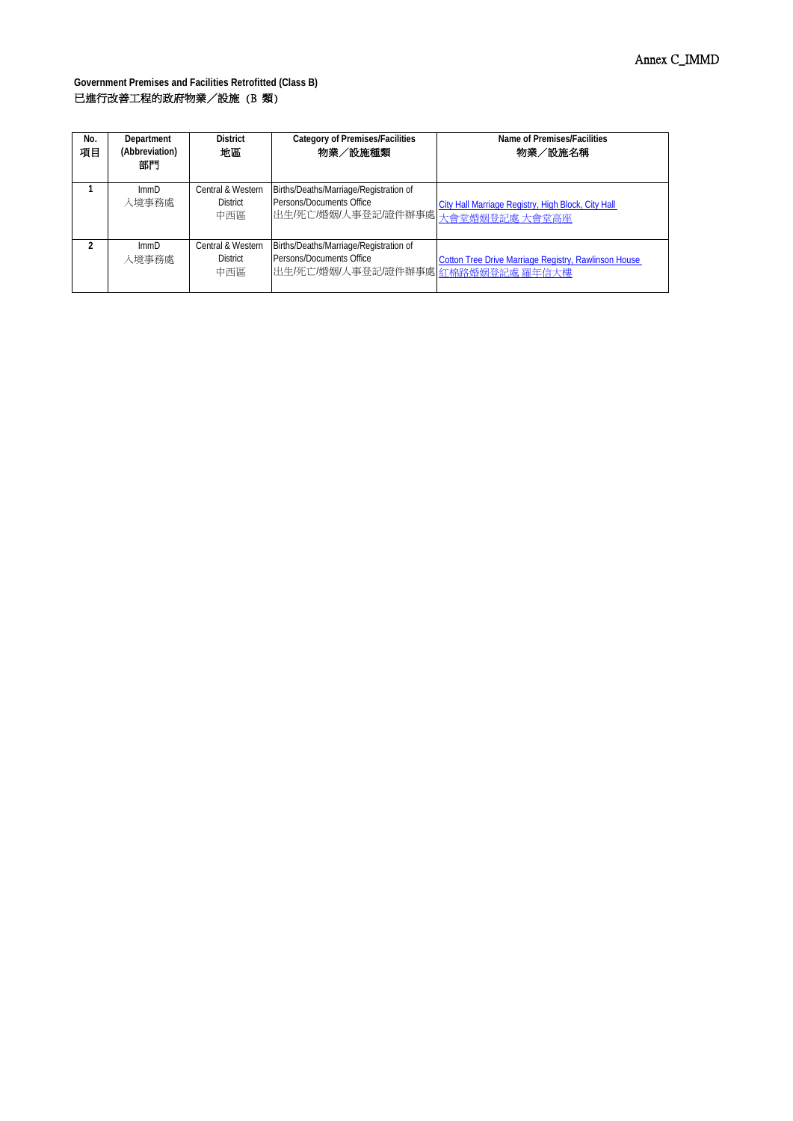| No.<br>項目 | Department<br>(Abbreviation)<br>部門 | <b>District</b><br>地區                       | <b>Category of Premises/Facilities</b><br>物業/設施種類                                                        | Name of Premises/Facilities<br>物業/設施名稱                      |
|-----------|------------------------------------|---------------------------------------------|----------------------------------------------------------------------------------------------------------|-------------------------------------------------------------|
|           | ImmD<br>入境事務處                      | Central & Western<br><b>District</b><br>中西區 | Births/Deaths/Marriage/Registration of<br>Persons/Documents Office<br>出生/死亡/婚姻/人事登記/證件辦事處 大會堂婚姻登記處 大會堂高座 | City Hall Marriage Registry, High Block, City Hall          |
|           | ImmD<br>入境事務處                      | Central & Western<br><b>District</b><br>中西區 | Births/Deaths/Marriage/Registration of<br>Persons/Documents Office<br>出生/死亡/婚姻/人事登記/證件辦事處 紅棉路婚姻登記處 羅年信大樓 | <b>Cotton Tree Drive Marriage Registry, Rawlinson House</b> |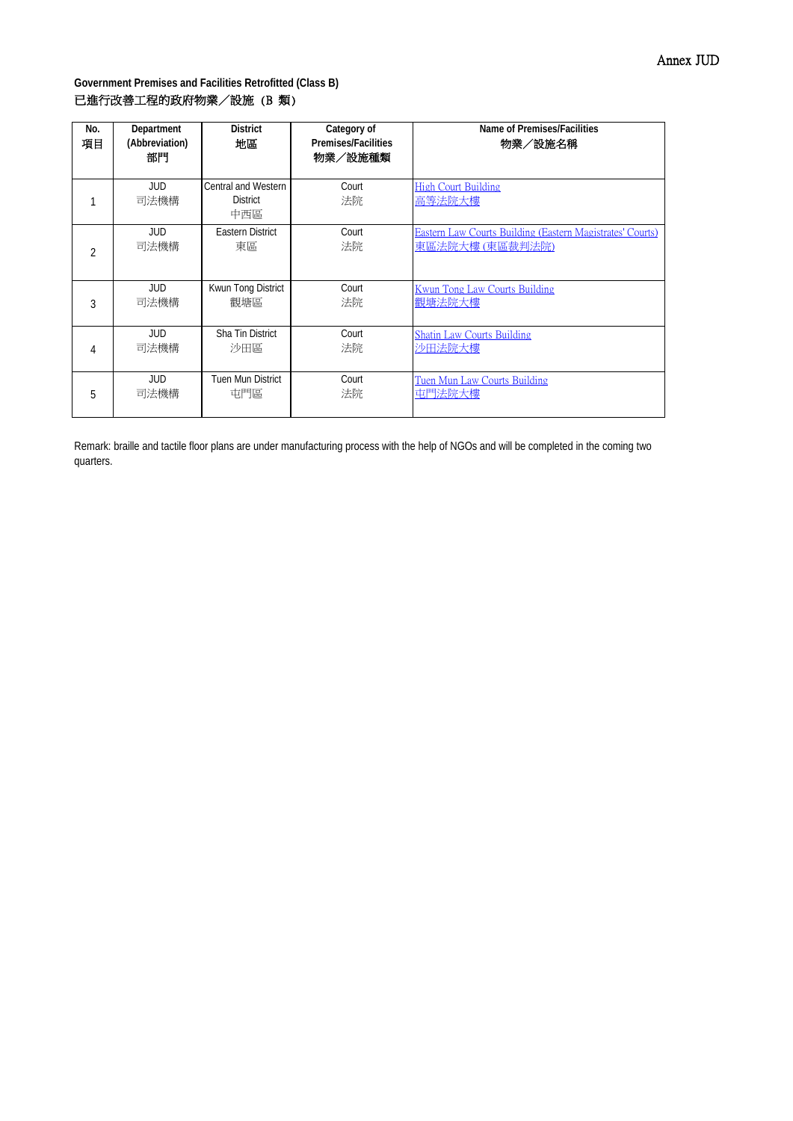| No.<br>項目      | Department<br>(Abbreviation)<br>部門 | <b>District</b><br>地區                         | Category of<br><b>Premises/Facilities</b><br>物業/設施種類 | Name of Premises/Facilities<br>物業/設施名稱                    |
|----------------|------------------------------------|-----------------------------------------------|------------------------------------------------------|-----------------------------------------------------------|
|                | JUD.<br>司法機構                       | Central and Western<br><b>District</b><br>中西區 | Court<br>法院                                          | High Court Building<br>高等法院大樓                             |
| $\overline{2}$ | JUD                                | <b>Eastern District</b>                       | Court                                                | Eastern Law Courts Building (Eastern Magistrates' Courts) |
|                | 司法機構                               | 東區                                            | 法院                                                   | 東區法院大樓 (東區裁判法院)                                           |
| 3              | JUD                                | Kwun Tong District                            | Court                                                | Kwun Tong Law Courts Building                             |
|                | 司法機構                               | 觀塘區                                           | 法院                                                   | 觀塘法院大樓                                                    |
| 4              | <b>JUD</b>                         | Sha Tin District                              | Court                                                | <b>Shatin Law Courts Building</b>                         |
|                | 司法機構                               | 沙田區                                           | 法院                                                   | 沙田法院大樓                                                    |
| 5              | JUD                                | Tuen Mun District                             | Court                                                | <b>Tuen Mun Law Courts Building</b>                       |
|                | 司法機構                               | 屯門區                                           | 法院                                                   | 屯門法院大樓                                                    |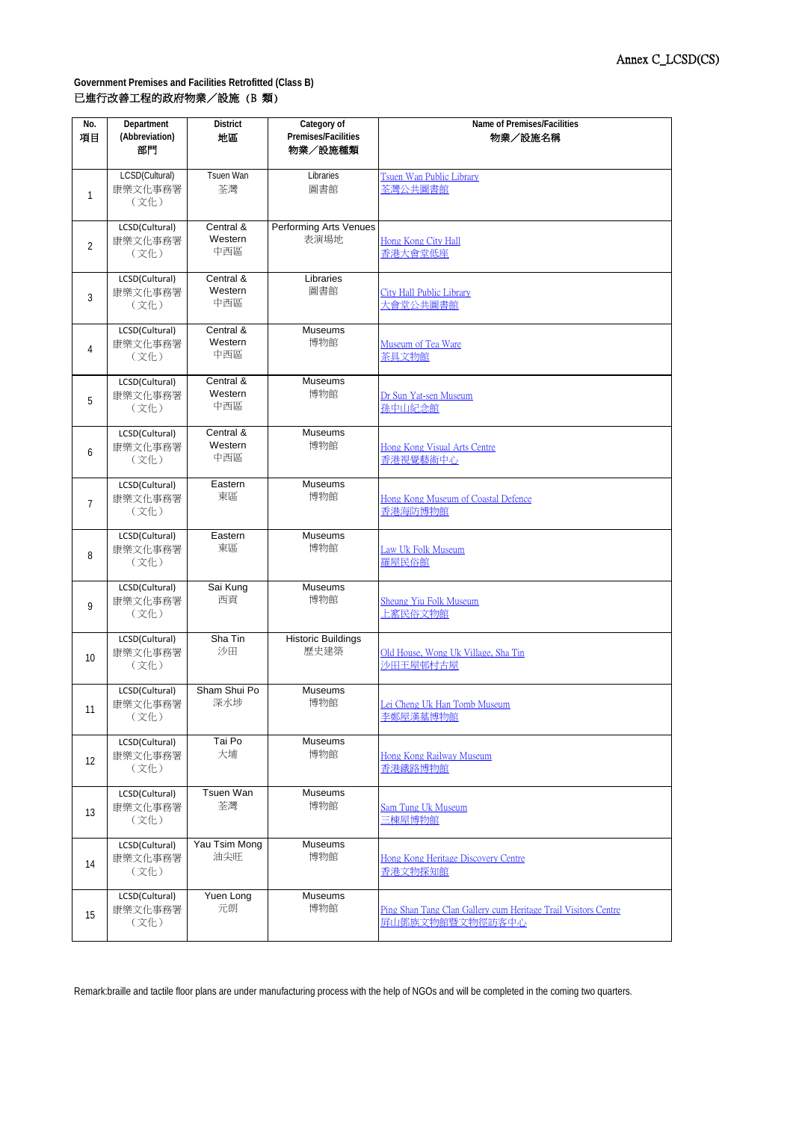| No.<br>項目      | Department<br>(Abbreviation)<br>部門 | <b>District</b><br>地區       | Category of<br>Premises/Facilities<br>物業/設施種類 | Name of Premises/Facilities<br>物業/設施名稱                                            |
|----------------|------------------------------------|-----------------------------|-----------------------------------------------|-----------------------------------------------------------------------------------|
| $\mathbf{1}$   | LCSD(Cultural)<br>康樂文化事務署<br>(文化)  | Tsuen Wan<br>荃灣             | Libraries<br>圖書館                              | Tsuen Wan Public Library<br>荃灣公共圖書館                                               |
| $\overline{2}$ | LCSD(Cultural)<br>康樂文化事務署<br>(文化)  | Central &<br>Western<br>中西區 | Performing Arts Venues<br>表演場地                | Hong Kong City Hall<br>香港大會堂低座                                                    |
| 3              | LCSD(Cultural)<br>康樂文化事務署<br>(文化)  | Central &<br>Western<br>中西區 | Libraries<br>圖書館                              | <b>City Hall Public Library</b><br>大會堂公共圖書館                                       |
| 4              | LCSD(Cultural)<br>康樂文化事務署<br>(文化)  | Central &<br>Western<br>中西區 | Museums<br>博物館                                | Museum of Tea Ware<br>茶具文物館                                                       |
| 5              | LCSD(Cultural)<br>康樂文化事務署<br>(文化)  | Central &<br>Western<br>中西區 | <b>Museums</b><br>博物館                         | Dr Sun Yat-sen Museum<br>孫中山紀念館                                                   |
| 6              | LCSD(Cultural)<br>康樂文化事務署<br>(文化)  | Central &<br>Western<br>中西區 | <b>Museums</b><br>博物館                         | Hong Kong Visual Arts Centre<br>香港視覺藝術中心                                          |
| $\overline{7}$ | LCSD(Cultural)<br>康樂文化事務署<br>(文化)  | Eastern<br>東區               | <b>Museums</b><br>博物館                         | Hong Kong Museum of Coastal Defence<br>香港海防博物館                                    |
| 8              | LCSD(Cultural)<br>康樂文化事務署<br>(文化)  | Eastern<br>東區               | Museums<br>博物館                                | Law Uk Folk Museum<br>羅屋民俗館                                                       |
| 9              | LCSD(Cultural)<br>康樂文化事務署<br>(文化)  | Sai Kung<br>西貢              | Museums<br>博物館                                | Sheung Yiu Folk Museum<br>上窰民俗文物館                                                 |
| 10             | LCSD(Cultural)<br>康樂文化事務署<br>(文化)  | Sha Tin<br>沙田               | <b>Historic Buildings</b><br>歷史建築             | Old House, Wong Uk Village, Sha Tin<br>沙田王屋邨村古屋                                   |
| 11             | LCSD(Cultural)<br>康樂文化事務署<br>(文化)  | Sham Shui Po<br>深水埗         | Museums<br>博物館                                | Lei Cheng Uk Han Tomb Museum<br>李鄭屋漢墓博物館                                          |
| 12             | LCSD(Cultural)<br>康樂文化事務署<br>(文化)  | Tai Po<br>大埔                | Museums<br>博物館                                | Hong Kong Railway Museum<br>香港鐵路博物館                                               |
| 13             | LCSD(Cultural)<br>康樂文化事務署<br>(文化)  | <b>Tsuen Wan</b><br>荃灣      | Museums<br>博物館                                | <b>Sam Tung Uk Museum</b><br>三棟屋博物館                                               |
| 14             | LCSD(Cultural)<br>康樂文化事務署<br>(文化)  | Yau Tsim Mong<br>油尖旺        | Museums<br>博物館                                | Hong Kong Heritage Discovery Centre<br>香港文物探知館                                    |
| 15             | LCSD(Cultural)<br>康樂文化事務署<br>(文化)  | Yuen Long<br>元朗             | Museums<br>博物館                                | Ping Shan Tang Clan Gallery cum Heritage Trail Visitors Centre<br>屏山鄧族文物館暨文物徑訪客中心 |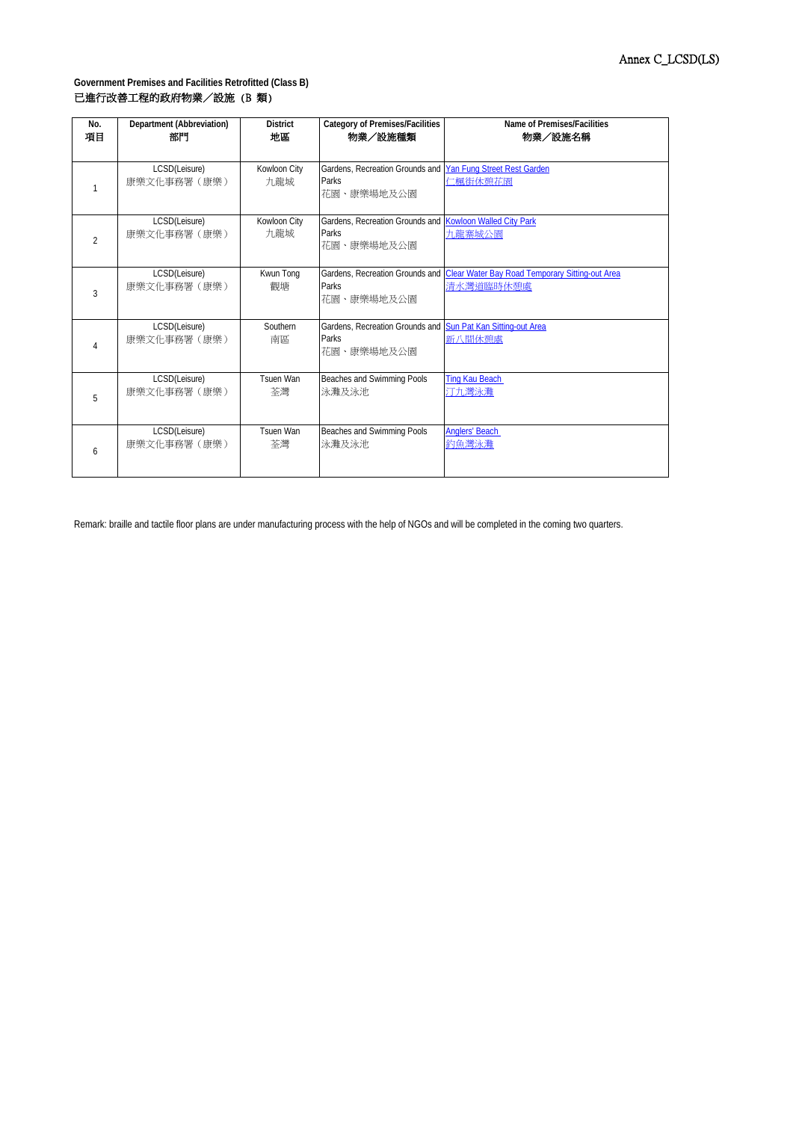| No.            | Department (Abbreviation)     | <b>District</b>     | <b>Category of Premises/Facilities</b>                                              | Name of Premises/Facilities                                                     |
|----------------|-------------------------------|---------------------|-------------------------------------------------------------------------------------|---------------------------------------------------------------------------------|
| 項目             | 部門                            | 地區                  | 物業/設施種類                                                                             | 物業/設施名稱                                                                         |
|                | LCSD(Leisure)<br>康樂文化事務署 (康樂) | Kowloon City<br>九龍城 | Gardens, Recreation Grounds and Yan Fung Street Rest Garden<br>Parks<br>花園、康樂場地及公園  | 仁楓街休憩花園                                                                         |
| $\mathfrak{p}$ | LCSD(Leisure)<br>康樂文化事務署 (康樂) | Kowloon City<br>九龍城 | Gardens, Recreation Grounds and Kowloon Walled City Park<br>Parks<br>花園、康樂場地及公園     | 九龍寨城公園                                                                          |
| $\overline{3}$ | LCSD(Leisure)                 | Kwun Tong           | Parks                                                                               | Gardens, Recreation Grounds and Clear Water Bay Road Temporary Sitting-out Area |
|                | 康樂文化事務署 (康樂)                  | 觀塘                  | 花園、康樂場地及公園                                                                          | 清水灣道臨時休憩處                                                                       |
|                | LCSD(Leisure)<br>康樂文化事務署 (康樂) | Southern<br>南區      | Gardens, Recreation Grounds and Sun Pat Kan Sitting-out Area<br>Parks<br>花園、康樂場地及公園 | 新八間休憩處                                                                          |
| 5              | LCSD(Leisure)                 | Tsuen Wan           | Beaches and Swimming Pools                                                          | <b>Ting Kau Beach</b>                                                           |
|                | 康樂文化事務署 (康樂)                  | 荃灣                  | 泳灘及泳池                                                                               | 汀九灣泳灘                                                                           |
| 6              | LCSD(Leisure)                 | Tsuen Wan           | Beaches and Swimming Pools                                                          | <b>Anglers' Beach</b>                                                           |
|                | 康樂文化事務署 (康樂)                  | 荃灣                  | 泳灘及泳池                                                                               | 釣魚灣泳灘                                                                           |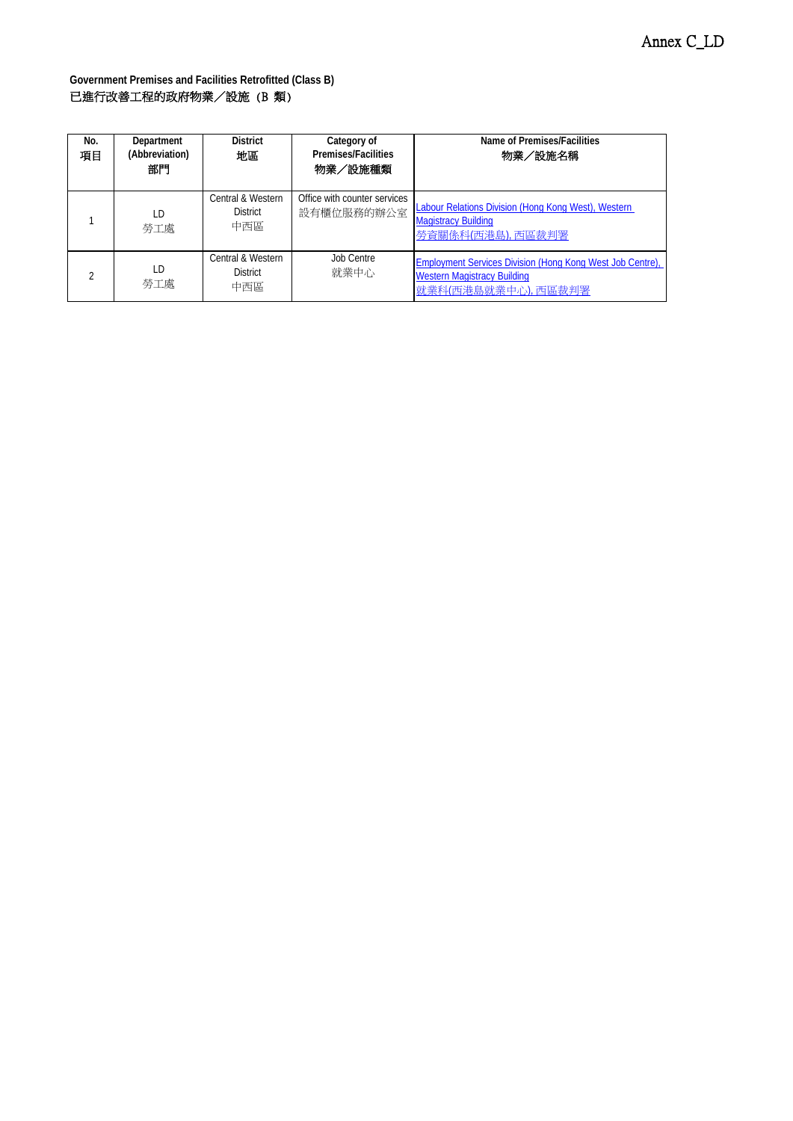| No.<br>項目 | Department<br>(Abbreviation)<br>部門 | <b>District</b><br>地區                                  | Category of<br><b>Premises/Facilities</b><br>物業/設施種類 | Name of Premises/Facilities<br>物業/設施名稱                                                                                        |
|-----------|------------------------------------|--------------------------------------------------------|------------------------------------------------------|-------------------------------------------------------------------------------------------------------------------------------|
|           | ID<br>勞工處                          | <b>Central &amp; Western</b><br><b>District</b><br>中西區 | Office with counter services<br>設有櫃位服務的辦公室           | Labour Relations Division (Hong Kong West), Western<br><b>Magistracy Building</b><br>勞資關係科(西港島),西區裁判署                         |
|           | ID.<br>勞工處                         | <b>Central &amp; Western</b><br><b>District</b><br>中西區 | Job Centre<br>就業中心                                   | <b>Employment Services Division (Hong Kong West Job Centre),</b><br><b>Western Magistracy Building</b><br>就業科(西港島就業中心), 西區裁判署 |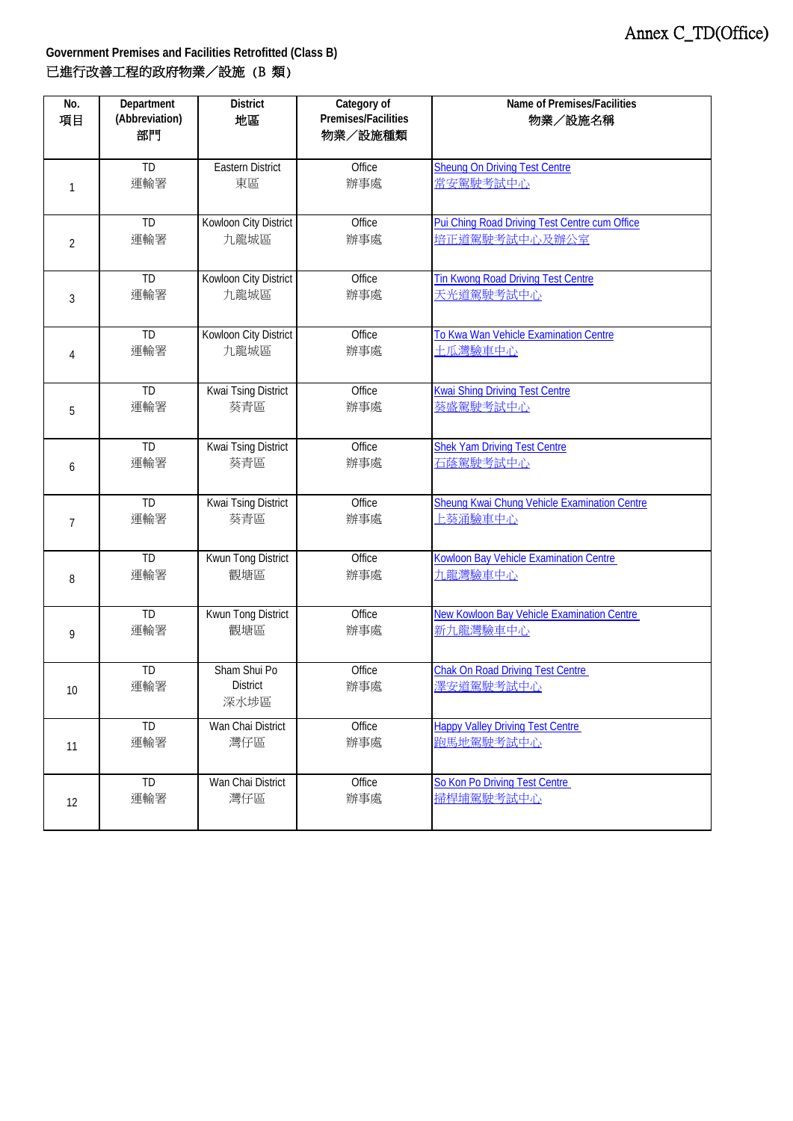| No.            | Department      | <b>District</b>                         | Category of         | Name of Premises/Facilities                          |
|----------------|-----------------|-----------------------------------------|---------------------|------------------------------------------------------|
| 項目             | (Abbreviation)  | 地區                                      | Premises/Facilities | 物業/設施名稱                                              |
|                | 部門              |                                         | 物業/設施種類             |                                                      |
| 1              | TD              | <b>Eastern District</b>                 | Office              | <b>Sheung On Driving Test Centre</b>                 |
|                | 運輸署             | 東區                                      | 辦事處                 | 常安駕駛考試中心                                             |
| 2              | TD              | Kowloon City District                   | Office              | Pui Ching Road Driving Test Centre cum Office        |
|                | 運輸署             | 九龍城區                                    | 辦事處                 | 培正道駕駛考試中心及辦公室                                        |
| 3              | TD              | Kowloon City District                   | Office              | <b>Tin Kwong Road Driving Test Centre</b>            |
|                | 運輸署             | 九龍城區                                    | 辦事處                 | 天光道駕駛考試中心                                            |
| $\overline{4}$ | TD              | Kowloon City District                   | Office              | To Kwa Wan Vehicle Examination Centre                |
|                | 運輸署             | 九龍城區                                    | 辦事處                 | 土瓜灣驗車中心                                              |
| 5              | TD              | Kwai Tsing District                     | Office              | <b>Kwai Shing Driving Test Centre</b>                |
|                | 運輸署             | 葵青區                                     | 辦事處                 | 葵盛駕駛考試中心                                             |
| 6              | $\overline{ID}$ | <b>Kwai Tsing District</b>              | Office              | <b>Shek Yam Driving Test Centre</b>                  |
|                | 運輸署             | 葵青區                                     | 辦事處                 | 石蔭駕駛考試中心                                             |
| $\overline{7}$ | $\overline{ID}$ | Kwai Tsing District                     | Office              | Sheung Kwai Chung Vehicle Examination Centre         |
|                | 運輸署             | 葵青區                                     | 辦事處                 | 上葵涌驗車中心                                              |
| 8              | $\overline{ID}$ | Kwun Tong District                      | Office              | <b>Kowloon Bay Vehicle Examination Centre</b>        |
|                | 運輸署             | 觀塘區                                     | 辦事處                 | 九龍灣驗車中心                                              |
| 9              | TD              | Kwun Tong District                      | Office              | New Kowloon Bay Vehicle Examination Centre           |
|                | 運輸署             | 觀塘區                                     | 辦事處                 | 新九龍灣驗車中心                                             |
| 10             | TD<br>運輸署       | Sham Shui Po<br><b>District</b><br>深水埗區 | Office<br>辦事處       | <b>Chak On Road Driving Test Centre</b><br>澤安道駕駛考試中心 |
| 11             | TD              | Wan Chai District                       | Office              | <b>Happy Valley Driving Test Centre</b>              |
|                | 運輸署             | 灣仔區                                     | 辦事處                 | 跑馬地駕駛考試中心                                            |
| 12             | TD              | Wan Chai District                       | Office              | So Kon Po Driving Test Centre                        |
|                | 運輸署             | 灣仔區                                     | 辦事處                 | 掃桿埔駕駛考試中心                                            |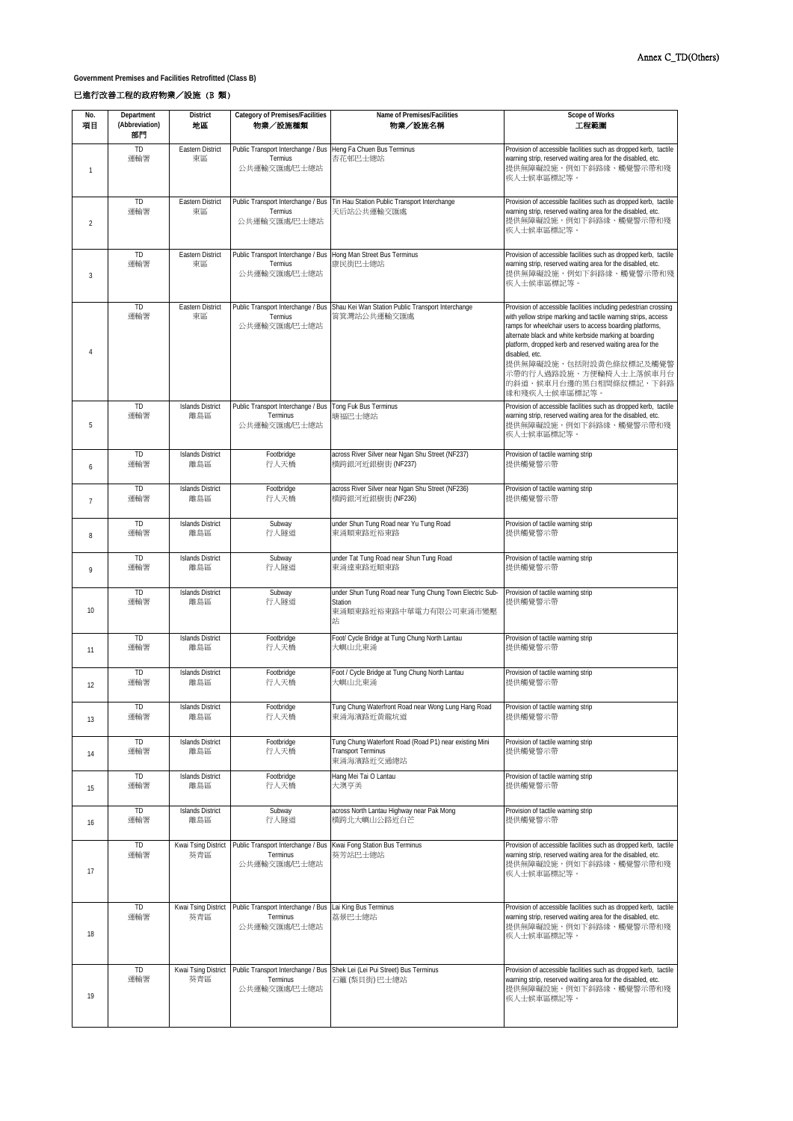**Government Premises and Facilities Retrofitted (Class B)**

## 已進行改善工程的政府物業/設施 (B 類)

| No.<br>項目      | Department<br>(Abbreviation)<br>部門 | <b>District</b><br>地區          | Category of Premises/Facilities<br>物業/設施種類                                                 | Name of Premises/Facilities<br>物業/設施名稱                                                              | <b>Scope of Works</b><br>工程範圍                                                                                                                                                                                                                                                                                                                                                                                                        |
|----------------|------------------------------------|--------------------------------|--------------------------------------------------------------------------------------------|-----------------------------------------------------------------------------------------------------|--------------------------------------------------------------------------------------------------------------------------------------------------------------------------------------------------------------------------------------------------------------------------------------------------------------------------------------------------------------------------------------------------------------------------------------|
| $\mathbf{1}$   | TD<br>運輸署                          | Eastern District<br>東區         | Public Transport Interchange / Bus   Heng Fa Chuen Bus Terminus<br>Termius<br>公共運輸交匯處/巴士總站 | 杏花邨巴士總站                                                                                             | Provision of accessible facilities such as dropped kerb, tactile<br>warning strip, reserved waiting area for the disabled, etc.<br>提供無障礙設施,例如下斜路緣、觸覺警示帶和殘<br>疾人士候車區標記等。                                                                                                                                                                                                                                                              |
| $\overline{2}$ | <b>TD</b><br>運輸署                   | Eastern District<br>東區         | Public Transport Interchange / Bus<br>Termius<br>公共運輸交匯處吧士總站                               | Tin Hau Station Public Transport Interchange<br>天后站公共運輸交匯處                                          | Provision of accessible facilities such as dropped kerb, tactile<br>warning strip, reserved waiting area for the disabled, etc.<br>提供無障礙設施,例如下斜路緣、觸覺警示帶和殘<br>疾人士候車區標記等。                                                                                                                                                                                                                                                              |
| 3              | TD<br>運輸署                          | Eastern District<br>東區         | Public Transport Interchange / Bus Hong Man Street Bus Terminus<br>Termius<br>公共運輸交匯處/巴士總站 | 康民街巴士總站                                                                                             | Provision of accessible facilities such as dropped kerb, tactile<br>warning strip, reserved waiting area for the disabled, etc.<br>提供無障礙設施,例如下斜路緣、觸覺警示帶和殘<br>疾人士候車區標記等。                                                                                                                                                                                                                                                              |
| $\overline{4}$ | TD<br>運輸署                          | Eastern District<br>東區         | Termius<br>公共運輸交匯處/巴士總站                                                                    | Public Transport Interchange / Bus Shau Kei Wan Station Public Transport Interchange<br>筲箕灣站公共運輸交匯處 | Provision of accessible facilities including pedestrian crossing<br>with yellow stripe marking and tactile warning strips, access<br>ramps for wheelchair users to access boarding platforms,<br>alternate black and white kerbside marking at boarding<br>platform, dropped kerb and reserved waiting area for the<br>disabled, etc.<br>提供無障礙設施,包括附設黃色條紋標記及觸覺警<br>示帶的行人過路設施、方便輪椅人士上落候車月台<br>的斜道、候車月台邊的黑白相間條紋標記,下斜路<br>缘和殘疾人士候車區標記等。 |
| 5              | TD<br>運輸署                          | <b>Islands District</b><br>離島區 | Public Transport Interchange / Bus<br>Terminus<br>公共運輸交匯處/巴士總站                             | Tong Fuk Bus Terminus<br>塘福巴士總站                                                                     | Provision of accessible facilities such as dropped kerb, tactile<br>warning strip, reserved waiting area for the disabled, etc.<br>提供無障礙設施,例如下斜路緣、觸覺警示帶和殘<br>疾人士候車區標記等。                                                                                                                                                                                                                                                              |
| 6              | <b>TD</b><br>運輸署                   | <b>Islands District</b><br>離島區 | Footbridge<br>行人天橋                                                                         | across River Silver near Ngan Shu Street (NF237)<br>横跨銀河近銀樹街 (NF237)                                | Provision of tactile warning strip<br>提供觸覺警示帶                                                                                                                                                                                                                                                                                                                                                                                        |
| $\overline{7}$ | <b>TD</b><br>運輸署                   | <b>Islands District</b><br>離島區 | Footbridge<br>行人天橋                                                                         | across River Silver near Ngan Shu Street (NF236)<br>横跨銀河近銀樹街 (NF236)                                | Provision of tactile warning strip<br>提供觸覺警示帶                                                                                                                                                                                                                                                                                                                                                                                        |
| 8              | <b>TD</b><br>運輸署                   | <b>Islands District</b><br>離島區 | Subway<br>行人隧道                                                                             | under Shun Tung Road near Yu Tung Road<br>東涌順東路近裕東路                                                 | Provision of tactile warning strip<br>提供觸覺警示帶                                                                                                                                                                                                                                                                                                                                                                                        |
| 9              | TD<br>運輸署                          | <b>Islands District</b><br>離島區 | Subway<br>行人隧道                                                                             | under Tat Tung Road near Shun Tung Road<br>東涌達東路近順東路                                                | Provision of tactile warning strip<br>提供觸覺警示帶                                                                                                                                                                                                                                                                                                                                                                                        |
| 10             | TD<br>運輸署                          | <b>Islands District</b><br>離島區 | Subway<br>行人隧道                                                                             | under Shun Tung Road near Tung Chung Town Electric Sub-<br>Station<br>東涌順東路近裕東路中華電力有限公司東涌市變壓<br>站   | Provision of tactile warning strip<br>提供觸覺警示帶                                                                                                                                                                                                                                                                                                                                                                                        |
| 11             | TD<br>運輸署                          | <b>Islands District</b><br>離島區 | Footbridge<br>行人天橋                                                                         | Foot/ Cycle Bridge at Tung Chung North Lantau<br>大嶼山北東涌                                             | Provision of tactile warning strip<br>提供觸覺警示帶                                                                                                                                                                                                                                                                                                                                                                                        |
| 12             | TD<br>運輸署                          | <b>Islands District</b><br>離島區 | Footbridge<br>行人天橋                                                                         | Foot / Cycle Bridge at Tung Chung North Lantau<br>大嶼山北東涌                                            | Provision of tactile warning strip<br>提供觸覺警示帶                                                                                                                                                                                                                                                                                                                                                                                        |
| 13             | TD.<br>運輸署                         | Islands District<br>離島區        | Footbridge<br>行人天橋                                                                         | l ung Chung Watertront Road near Wong Lung Hang Road<br>東涌海濱路近黃龍坑道                                  | Provision of tactile warning strip<br>提供觸覺警示帶                                                                                                                                                                                                                                                                                                                                                                                        |
| 14             | TD<br>運輸署                          | <b>Islands District</b><br>離島區 | Footbridge<br>行人天橋                                                                         | Tung Chung Waterfont Road (Road P1) near existing Mini<br><b>Transport Terminus</b><br>東涌海濱路近交通總站   | Provision of tactile warning strip<br>提供觸覺警示帶                                                                                                                                                                                                                                                                                                                                                                                        |
| 15             | TD<br>運輸署                          | <b>Islands District</b><br>離島區 | Footbridge<br>行人天橋                                                                         | Hang Mei Tai O Lantau<br>大澳亨美                                                                       | Provision of tactile warning strip<br>提供觸覺警示帶                                                                                                                                                                                                                                                                                                                                                                                        |
| 16             | TD<br>運輸署                          | <b>Islands District</b><br>離島區 | Subway<br>行人隧道                                                                             | across North Lantau Highway near Pak Mong<br>横跨北大嶼山公路折白芒                                            | Provision of tactile warning strip<br>提供觸覺警示帶                                                                                                                                                                                                                                                                                                                                                                                        |
| 17             | TD<br>運輸署                          | Kwai Tsing District<br>葵青區     | Public Transport Interchange / Bus<br>Terminus<br>公共運輸交匯處/巴士總站                             | Kwai Fong Station Bus Terminus<br>葵芳站巴士總站                                                           | Provision of accessible facilities such as dropped kerb, tactile<br>warning strip, reserved waiting area for the disabled, etc.<br>提供無障礙設施,例如下斜路緣、觸覺警示帶和殘<br>疾人士候車區標記等。                                                                                                                                                                                                                                                              |
| 18             | TD<br>運輸署                          | Kwai Tsing District<br>葵青區     | Public Transport Interchange / Bus Lai King Bus Terminus<br>Terminus<br>公共運輸交匯處/巴士總站       | 荔景巴士總站                                                                                              | Provision of accessible facilities such as dropped kerb, tactile<br>warning strip, reserved waiting area for the disabled, etc.<br>提供無障礙設施,例如下斜路緣、觸覺警示帶和殘<br>疾人士候車區標記等。                                                                                                                                                                                                                                                              |
| 19             | TD<br>運輸署                          | Kwai Tsing District<br>葵青區     | Terminus<br>公共運輸交匯處/巴士總站                                                                   | Public Transport Interchange / Bus Shek Lei (Lei Pui Street) Bus Terminus<br>石籬 (梨貝街) 巴士總站          | Provision of accessible facilities such as dropped kerb, tactile<br>warning strip, reserved waiting area for the disabled, etc.<br>提供無障礙設施,例如下斜路緣、觸覺警示帶和殘<br>疾人士候車區標記等。                                                                                                                                                                                                                                                              |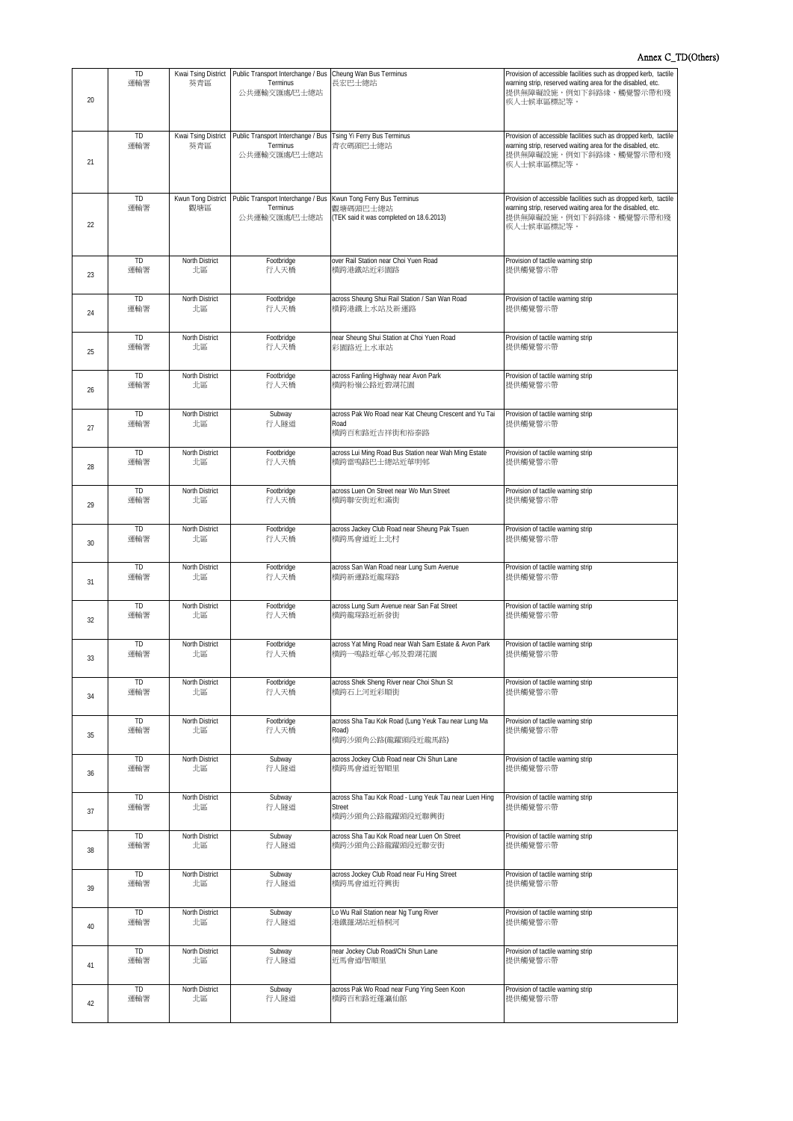| 20 | TD<br>運輸署        | Kwai Tsing District<br>葵青區  | Public Transport Interchange / Bus Cheung Wan Bus Terminus<br>Terminus<br>公共運輸交匯處/巴士總站      | 長宏巴士總站                                                                              | Provision of accessible facilities such as dropped kerb, tactile<br>warning strip, reserved waiting area for the disabled, etc.<br>提供無障礙設施,例如下斜路緣、觸覺警示帶和殘<br>疾人士候車區標記等。 |
|----|------------------|-----------------------------|---------------------------------------------------------------------------------------------|-------------------------------------------------------------------------------------|-------------------------------------------------------------------------------------------------------------------------------------------------------------------------|
| 21 | TD<br>運輸署        | Kwai Tsing District<br>葵青區  | Public Transport Interchange / Bus<br>Terminus<br>公共運輸交匯處/巴士總站                              | Tsing Yi Ferry Bus Terminus<br>青衣碼頭巴士總站                                             | Provision of accessible facilities such as dropped kerb, tactile<br>warning strip, reserved waiting area for the disabled, etc.<br>提供無障礙設施,例如下斜路緣、觸覺警示帶和殘<br>疾人士候車區標記等。 |
| 22 | TD<br>運輸署        | Kwun Tong District<br>觀塘區   | Public Transport Interchange / Bus Kwun Tong Ferry Bus Terminus<br>Terminus<br>公共運輸交匯處/巴士總站 | 觀塘碼頭巴士總站<br>(TEK said it was completed on 18.6.2013)                                | Provision of accessible facilities such as dropped kerb, tactile<br>warning strip, reserved waiting area for the disabled, etc.<br>提供無障礙設施,例如下斜路緣、觸覺警示帶和殘<br>疾人士候車區標記等。 |
| 23 | TD               | North District              | Footbridge                                                                                  | over Rail Station near Choi Yuen Road                                               | Provision of tactile warning strip                                                                                                                                      |
|    | 運輸署              | 北區                          | 行人天橋                                                                                        | 横跨港鐵站近彩園路                                                                           | 提供觸覺警示帶                                                                                                                                                                 |
| 24 | <b>TD</b>        | North District              | Footbridge                                                                                  | across Sheung Shui Rail Station / San Wan Road                                      | Provision of tactile warning strip                                                                                                                                      |
|    | 運輸署              | 北區                          | 行人天橋                                                                                        | 横跨港鐵上水站及新運路                                                                         | 提供觸覺警示帶                                                                                                                                                                 |
| 25 | TD               | North District              | Footbridge                                                                                  | near Sheung Shui Station at Choi Yuen Road                                          | Provision of tactile warning strip                                                                                                                                      |
|    | 運輸署              | 北區                          | 行人天橋                                                                                        | 彩園路近上水車站                                                                            | 提供觸覺警示帶                                                                                                                                                                 |
| 26 | TD               | North District              | Footbridge                                                                                  | across Fanling Highway near Avon Park                                               | Provision of tactile warning strip                                                                                                                                      |
|    | 運輸署              | 北區                          | 行人天橋                                                                                        | 横跨粉嶺公路近碧湖花園                                                                         | 提供觸覺警示帶                                                                                                                                                                 |
| 27 | <b>TD</b><br>運輸署 | <b>North District</b><br>北區 | Subway<br>行人隊道                                                                              | across Pak Wo Road near Kat Cheung Crescent and Yu Tai<br>Road<br>横跨百和路近吉祥街和裕泰路     | Provision of tactile warning strip<br>提供觸覺警示帶                                                                                                                           |
| 28 | TD               | North District              | Footbridge                                                                                  | across Lui Ming Road Bus Station near Wah Ming Estate                               | Provision of tactile warning strip                                                                                                                                      |
|    | 運輸署              | 北區                          | 行人天橋                                                                                        | 横跨雷鳴路巴士總站近華明邨                                                                       | 提供觸覺警示帶                                                                                                                                                                 |
| 29 | TD               | North District              | Footbridge                                                                                  | across Luen On Street near Wo Mun Street                                            | Provision of tactile warning strip                                                                                                                                      |
|    | 運輸署              | 北區                          | 行人天橋                                                                                        | 横跨聯安街近和滿街                                                                           | 提供觸覺警示帶                                                                                                                                                                 |
| 30 | TD               | North District              | Footbridge                                                                                  | across Jackey Club Road near Sheung Pak Tsuen                                       | Provision of tactile warning strip                                                                                                                                      |
|    | 運輸署              | 北區                          | 行人天橋                                                                                        | 横跨馬會道近上北村                                                                           | 提供觸覺警示帶                                                                                                                                                                 |
| 31 | TD               | North District              | Footbridge                                                                                  | across San Wan Road near Lung Sum Avenue                                            | Provision of tactile warning strip                                                                                                                                      |
|    | 運輸署              | 北區                          | 行人天橋                                                                                        | 横跨新運路近龍琛路                                                                           | 提供觸覺警示帶                                                                                                                                                                 |
| 32 | <b>TD</b>        | North District              | Footbridge                                                                                  | across Lung Sum Avenue near San Fat Street                                          | Provision of tactile warning strip                                                                                                                                      |
|    | 運輸署              | 北區                          | 行人天橋                                                                                        | 横跨龍琛路近新發街                                                                           | 提供觸覺警示帶                                                                                                                                                                 |
| 33 | TD               | North District              | Footbridge                                                                                  | across Yat Ming Road near Wah Sam Estate & Avon Park                                | Provision of tactile warning strip                                                                                                                                      |
|    | 運輸署              | 北區                          | 行人天橋                                                                                        | 横跨一鳴路近華心邨及碧湖花園                                                                      | 提供觸覺警示帶                                                                                                                                                                 |
| 34 | TD               | North District              | Footbridge                                                                                  | across Shek Sheng River near Choi Shun St                                           | Provision of tactile warning strip                                                                                                                                      |
|    | 運輸署              | 北區                          | 行人天橋                                                                                        | 横跨石上河近彩順街                                                                           | 提供觸覺警示帶                                                                                                                                                                 |
| 35 | TD<br>運輸署        | North District<br>北區        | Footbridge<br>行人天橋                                                                          | across Sha Tau Kok Road (Lung Yeuk Tau near Lung Ma<br>Road)<br>横跨沙頭角公路(龍躍頭段近龍馬路)   | Provision of tactile warning strip<br>提供觸覺警示帶                                                                                                                           |
| 36 | TD               | North District              | Subway                                                                                      | across Jockey Club Road near Chi Shun Lane                                          | Provision of tactile warning strip                                                                                                                                      |
|    | 運輸署              | 北區                          | 行人隧道                                                                                        | 横跨馬會道近智順里                                                                           | 提供觸覺警示帶                                                                                                                                                                 |
| 37 | <b>TD</b><br>運輸署 | North District<br>北區        | Subway<br>行人隧道                                                                              | across Sha Tau Kok Road - Lung Yeuk Tau near Luen Hing<br>Street<br>横跨沙頭角公路龍躍頭段近聯興街 | Provision of tactile warning strip<br>提供觸覺警示帶                                                                                                                           |
| 38 | <b>TD</b>        | North District              | Subway                                                                                      | across Sha Tau Kok Road near Luen On Street                                         | Provision of tactile warning strip                                                                                                                                      |
|    | 運輸署              | 北區                          | 行人隧道                                                                                        | 横跨沙頭角公路龍躍頭段近聯安街                                                                     | 提供觸覺警示帶                                                                                                                                                                 |
| 39 | TD               | North District              | Subway                                                                                      | across Jockey Club Road near Fu Hing Street                                         | Provision of tactile warning strip                                                                                                                                      |
|    | 運輸署              | 北區                          | 行人隧道                                                                                        | 横跨馬會道近符興街                                                                           | 提供觸覺警示帶                                                                                                                                                                 |
| 40 | TD               | North District              | Subway                                                                                      | Lo Wu Rail Station near Ng Tung River                                               | Provision of tactile warning strip                                                                                                                                      |
|    | 運輸署              | 北區                          | 行人隧道                                                                                        | 港鐵羅湖站近梧桐河                                                                           | 提供觸覺警示帶                                                                                                                                                                 |
| 41 | TD               | North District              | Subway                                                                                      | near Jockey Club Road/Chi Shun Lane                                                 | Provision of tactile warning strip                                                                                                                                      |
|    | 運輸署              | 北區                          | 行人隧道                                                                                        | 近馬會道/智順里                                                                            | 提供觸覺警示帶                                                                                                                                                                 |
| 42 | <b>TD</b>        | North District              | Subway                                                                                      | across Pak Wo Road near Fung Ying Seen Koon                                         | Provision of tactile warning strip                                                                                                                                      |
|    | 運輸署              | 北區                          | 行人隧道                                                                                        | 横跨百和路近蓬瀛仙館                                                                          | 提供觸覺警示帶                                                                                                                                                                 |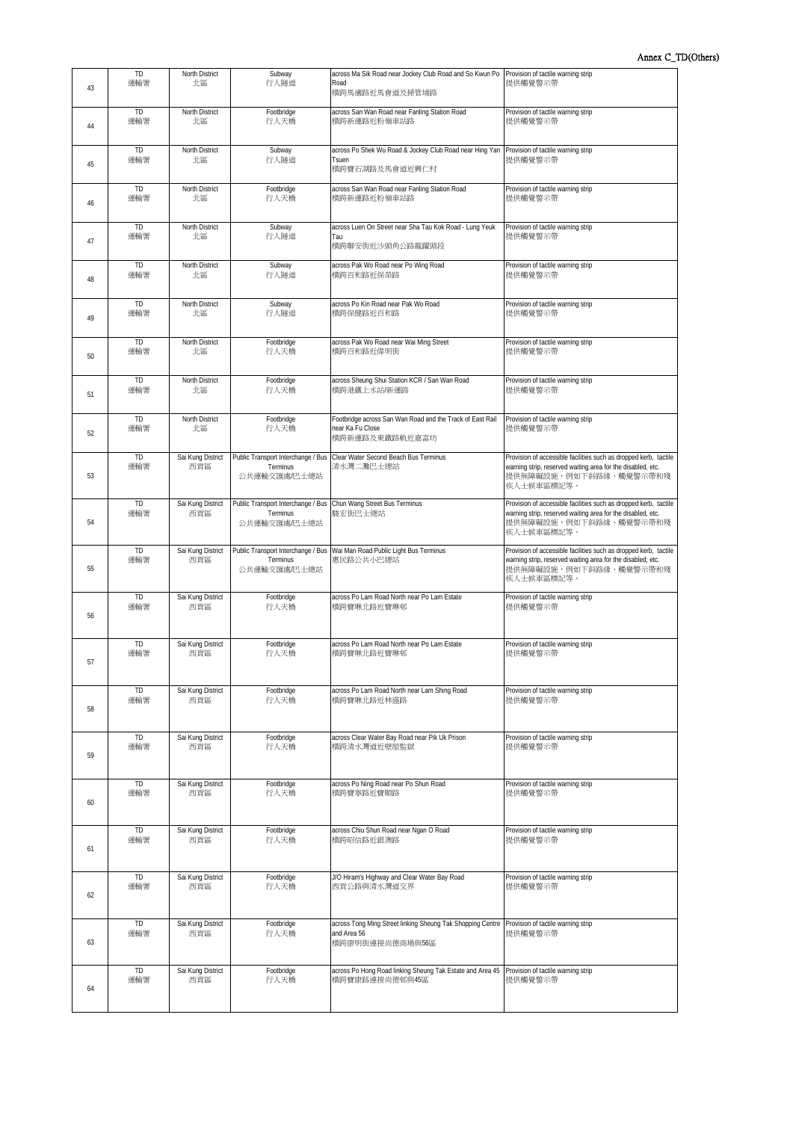| 43 | TD<br>運輸署        | North District<br>北區        | Subway<br>行人隧道                                                                               | across Ma Sik Road near Jockey Club Road and So Kwun Po<br>Road<br>横跨馬適路近馬會道及掃管埔路                                               | Provision of tactile warning strip<br>提供觸覺警示帶                                                                                                                           |
|----|------------------|-----------------------------|----------------------------------------------------------------------------------------------|---------------------------------------------------------------------------------------------------------------------------------|-------------------------------------------------------------------------------------------------------------------------------------------------------------------------|
| 44 | <b>TD</b>        | North District              | Footbridge                                                                                   | across San Wan Road near Fanling Station Road                                                                                   | Provision of tactile warning strip                                                                                                                                      |
|    | 運輸署              | 北區                          | 行人天橋                                                                                         | 横跨新運路近粉嶺車站路                                                                                                                     | 提供觸覺警示帶                                                                                                                                                                 |
| 45 | <b>TD</b><br>運輸署 | <b>North District</b><br>北區 | Subway<br>行人隧道                                                                               | across Po Shek Wu Road & Jockey Club Road near Hing Yan<br>Tsuen<br>横跨寶石湖路及馬會道近興仁村                                              | Provision of tactile warning strip<br>提供觸覺警示帶                                                                                                                           |
| 46 | TD               | North District              | Footbridge                                                                                   | across San Wan Road near Fanling Station Road                                                                                   | Provision of tactile warning strip                                                                                                                                      |
|    | 運輸署              | 北區                          | 行人天橋                                                                                         | 横跨新運路近粉嶺車站路                                                                                                                     | 提供觸覺警示帶                                                                                                                                                                 |
| 47 | <b>TD</b><br>運輸署 | North District<br>北區        | Subway<br>行人隧道                                                                               | across Luen On Street near Sha Tau Kok Road - Lung Yeuk<br>Tau<br>横跨聯安街近沙頭角公路龍躍頭段                                               | Provision of tactile warning strip<br>提供觸覺警示帶                                                                                                                           |
| 48 | <b>TD</b>        | North District              | Subway                                                                                       | across Pak Wo Road near Po Wing Road                                                                                            | Provision of tactile warning strip                                                                                                                                      |
|    | 運輸署              | 北區                          | 行人隧道                                                                                         | 横跨百和路近保榮路                                                                                                                       | 提供觸覺警示帶                                                                                                                                                                 |
| 49 | TD               | North District              | Subway                                                                                       | across Po Kin Road near Pak Wo Road                                                                                             | Provision of tactile warning strip                                                                                                                                      |
|    | 運輸署              | 北區                          | 行人隧道                                                                                         | 横跨保健路近百和路                                                                                                                       | 提供觸覺警示帶                                                                                                                                                                 |
| 50 | TD               | North District              | Footbridge                                                                                   | across Pak Wo Road near Wai Ming Street                                                                                         | Provision of tactile warning strip                                                                                                                                      |
|    | 運輸署              | 北區                          | 行人天橋                                                                                         | 横跨百和路折偉明街                                                                                                                       | 提供觸覺警示帶                                                                                                                                                                 |
| 51 | <b>TD</b>        | North District              | Footbridge                                                                                   | across Sheung Shui Station KCR / San Wan Road                                                                                   | Provision of tactile warning strip                                                                                                                                      |
|    | 運輸署              | 北區                          | 行人天橋                                                                                         | 横跨港鐵上水站/新運路                                                                                                                     | 提供觸覺警示帶                                                                                                                                                                 |
| 52 | <b>TD</b><br>運輸署 | North District<br>北區        | Footbridge<br>行人天橋                                                                           | Footbridge across San Wan Road and the Track of East Rail<br>near Ka Fu Close<br>横跨新運路及東鐵路軌近嘉富坊                                 | Provision of tactile warning strip<br>提供觸覺警示帶                                                                                                                           |
| 53 | <b>TD</b><br>運輸署 | Sai Kung District<br>西貢區    | Public Transport Interchange / Bus<br>Terminus<br>公共運輸交匯處/巴士總站                               | Clear Water Second Beach Bus Terminus<br>清水灣二灘巴士總站                                                                              | Provision of accessible facilities such as dropped kerb, tactile<br>warning strip, reserved waiting area for the disabled, etc.<br>提供無障礙設施,例如下斜路緣、觸覺警示帶和殘<br>疾人士候車區標記等。 |
| 54 | <b>TD</b><br>運輸署 | Sai Kung District<br>西貢區    | Public Transport Interchange / Bus Chun Wang Street Bus Terminus<br>Terminus<br>公共運輸交匯處/巴士總站 | 駿宏街巴士總站                                                                                                                         | Provision of accessible facilities such as dropped kerb, tactile<br>warning strip, reserved waiting area for the disabled, etc.<br>提供無障礙設施,例如下斜路緣、觸覺警示帶和殘<br>疾人士候車區標記等。 |
| 55 | <b>TD</b><br>運輸署 | Sai Kung District<br>西貢區    | Public Transport Interchange / Bus<br>Terminus<br>公共運輸交匯處/巴士總站                               | Wai Man Road Public Light Bus Terminus<br>惠民路公共小巴總站                                                                             | Provision of accessible facilities such as dropped kerb, tactile<br>warning strip, reserved waiting area for the disabled, etc.<br>提供無障礙設施,例如下斜路緣、觸覺警示帶和殘<br>疾人士候車區標記等。 |
| 56 | TD               | Sai Kung District           | Footbridge                                                                                   | across Po Lam Road North near Po Lam Estate                                                                                     | Provision of tactile warning strip                                                                                                                                      |
|    | 運輸署              | 西貢區                         | 行人天橋                                                                                         | 横跨寶琳北路近寶琳邨                                                                                                                      | 提供觸覺警示帶                                                                                                                                                                 |
| 57 | TD               | Sai Kung District           | Footbridge                                                                                   | across Po Lam Road North near Po Lam Estate                                                                                     | Provision of tactile warning strip                                                                                                                                      |
|    | 運輸署              | 西貢區                         | 行人天橋                                                                                         | 横跨寶琳北路近寶琳邨                                                                                                                      | 提供觸覺警示帶                                                                                                                                                                 |
| 58 | <b>TD</b>        | Sai Kung District           | Footbridge                                                                                   | across Po Lam Road North near Lam Shing Road                                                                                    | Provision of tactile warning strip                                                                                                                                      |
|    | 運輸署              | 西貢區                         | 行人天橋                                                                                         | 横跨寶琳北路近林盛路                                                                                                                      | 提供觸覺警示帶                                                                                                                                                                 |
| 59 | TD               | Sai Kung District           | Footbridge                                                                                   | across Clear Water Bay Road near Pik Uk Prison                                                                                  | Provision of tactile warning strip                                                                                                                                      |
|    | 運輸署              | 西貢區                         | 行人天橋                                                                                         | 横跨清水灣道近壁屋監獄                                                                                                                     | 提供觸覺警示帶                                                                                                                                                                 |
| 60 | TD               | Sai Kung District           | Footbridge                                                                                   | across Po Ning Road near Po Shun Road                                                                                           | Provision of tactile warning strip                                                                                                                                      |
|    | 運輸署              | 西貢區                         | 行人天橋                                                                                         | 横跨寶寧路近寶順路                                                                                                                       | 提供觸覺警示帶                                                                                                                                                                 |
| 61 | <b>TD</b>        | Sai Kung District           | Footbridge                                                                                   | across Chiu Shun Road near Ngan O Road                                                                                          | Provision of tactile warning strip                                                                                                                                      |
|    | 運輸署              | 西貢區                         | 行人天橋                                                                                         | 横跨昭信路近銀澳路                                                                                                                       | 提供觸覺警示帶                                                                                                                                                                 |
| 62 | TD               | Sai Kung District           | Footbridge                                                                                   | J/O Hiram's Highway and Clear Water Bay Road                                                                                    | Provision of tactile warning strip                                                                                                                                      |
|    | 運輸署              | 西貢區                         | 行人天橋                                                                                         | 西貢公路與清水灣道交界                                                                                                                     | 提供觸覺警示帶                                                                                                                                                                 |
| 63 | <b>TD</b><br>運輸署 | Sai Kung District<br>西貢區    | Footbridge<br>行人天橋                                                                           | across Tong Ming Street linking Sheung Tak Shopping Centre Provision of tactile warning strip<br>and Area 56<br>横跨康明街連接尚德商場與56區 | 提供觸覺警示帶                                                                                                                                                                 |
| 64 | <b>TD</b>        | Sai Kung District           | Footbridge                                                                                   | across Po Hong Road linking Sheung Tak Estate and Area 45                                                                       | Provision of tactile warning strip                                                                                                                                      |
|    | 運輸署              | 西貢區                         | 行人天橋                                                                                         | 横跨寶康路連接尚德邨與45區                                                                                                                  | 提供觸覺警示帶                                                                                                                                                                 |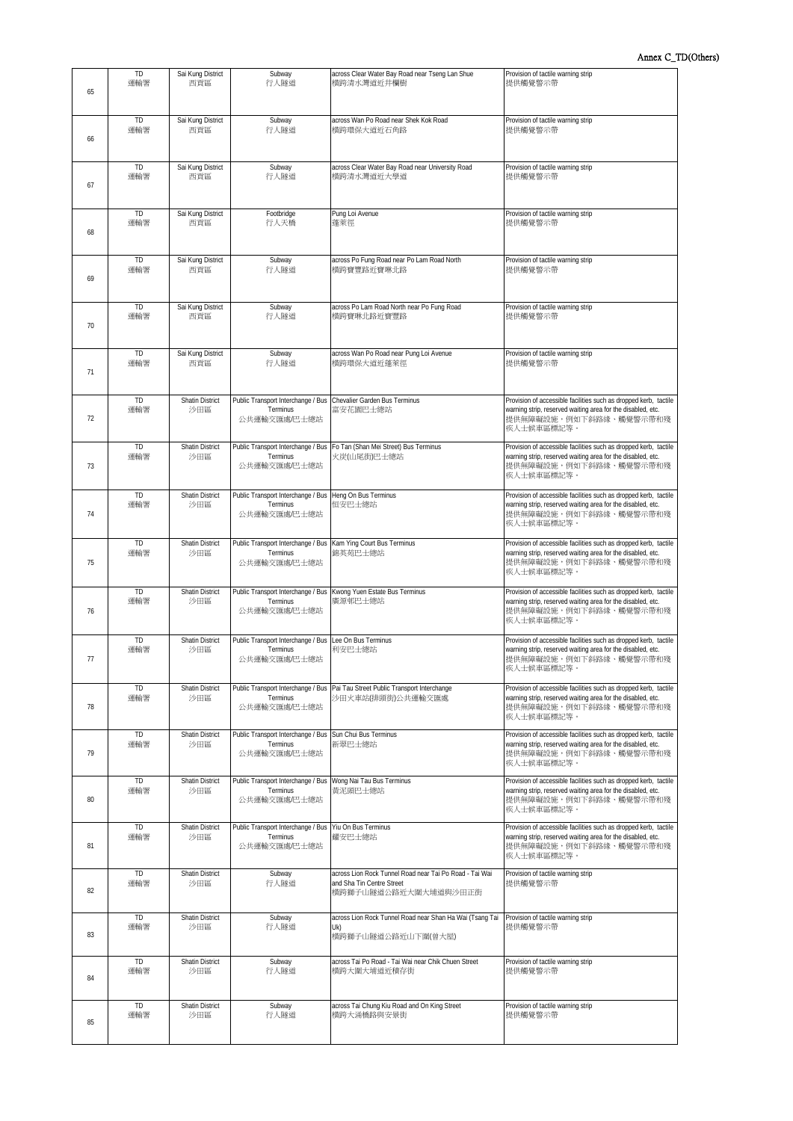| 65 | TD<br>運輸署        | Sai Kung District<br>西貢區      | Subway<br>行人隧道                                                                             | across Clear Water Bay Road near Tseng Lan Shue<br>横跨清水灣道近井欄樹                                                | Provision of tactile warning strip<br>提供觸覺警示帶                                                                                                                           |
|----|------------------|-------------------------------|--------------------------------------------------------------------------------------------|--------------------------------------------------------------------------------------------------------------|-------------------------------------------------------------------------------------------------------------------------------------------------------------------------|
| 66 | TD<br>運輸署        | Sai Kung District<br>西貢區      | Subway<br>行人隧道                                                                             | across Wan Po Road near Shek Kok Road<br>横跨環保大道近石角路                                                          | Provision of tactile warning strip<br>提供觸覺警示帶                                                                                                                           |
| 67 | TD<br>運輸署        | Sai Kung District<br>西貢區      | Subway<br>行人隧道                                                                             | across Clear Water Bay Road near University Road<br>横跨清水灣道近大學道                                               | Provision of tactile warning strip<br>提供觸覺警示帶                                                                                                                           |
| 68 | TD<br>運輸署        | Sai Kung District<br>西貢區      | Footbridge<br>行人天橋                                                                         | Pung Loi Avenue<br>蓬萊徑                                                                                       | Provision of tactile warning strip<br>提供觸覺警示帶                                                                                                                           |
| 69 | TD<br>運輸署        | Sai Kung District<br>西貢區      | Subway<br>行人隧道                                                                             | across Po Fung Road near Po Lam Road North<br>横跨寶豐路近寶琳北路                                                     | Provision of tactile warning strip<br>提供觸覺警示帶                                                                                                                           |
| 70 | <b>TD</b><br>運輸署 | Sai Kung District<br>西貢區      | Subway<br>行人隧道                                                                             | across Po Lam Road North near Po Fung Road<br>横跨寶琳北路近寶豐路                                                     | Provision of tactile warning strip<br>提供觸覺警示帶                                                                                                                           |
| 71 | TD<br>運輸署        | Sai Kung District<br>西貢區      | Subway<br>行人隧道                                                                             | across Wan Po Road near Pung Loi Avenue<br>横跨環保大道折蓬萊徑                                                        | Provision of tactile warning strip<br>提供觸覺警示帶                                                                                                                           |
| 72 | TD<br>運輸署        | <b>Shatin District</b><br>沙田區 | Public Transport Interchange / Bus<br>Terminus<br>公共運輸交匯處/巴士總站                             | Chevalier Garden Bus Terminus<br>富安花園巴士總站                                                                    | Provision of accessible facilities such as dropped kerb, tactile<br>warning strip, reserved waiting area for the disabled, etc.<br>提供無障礙設施,例如下斜路緣、觸覺警示帶和殘<br>疾人十候車區標記等。 |
| 73 | <b>TD</b><br>運輸署 | Shatin District<br>沙田區        | Terminus<br>公共運輸交匯處/巴士總站                                                                   | Public Transport Interchange / Bus Fo Tan (Shan Mei Street) Bus Terminus<br>火炭(山尾街)巴士總站                      | Provision of accessible facilities such as dropped kerb, tactile<br>warning strip, reserved waiting area for the disabled, etc.<br>提供無障礙設施,例如下斜路緣、觸覺警示帶和殘<br>疾人士候車區標記等。 |
| 74 | <b>TD</b><br>運輸署 | Shatin District<br>沙田區        | Public Transport Interchange / Bus Heng On Bus Terminus<br>Terminus<br>公共運輸交匯處/巴士總站        | 恒安巴士總站                                                                                                       | Provision of accessible facilities such as dropped kerb, tactile<br>warning strip, reserved waiting area for the disabled, etc.<br>提供無障礙設施,例如下斜路緣、觸覺警示帶和殘<br>疾人士候車區標記等。 |
| 75 | <b>TD</b><br>運輸署 | Shatin District<br>沙田區        | Public Transport Interchange / Bus Kam Ying Court Bus Terminus<br>Terminus<br>公共運輸交匯處/巴士總站 | 錦英苑巴士總站                                                                                                      | Provision of accessible facilities such as dropped kerb, tactile<br>warning strip, reserved waiting area for the disabled, etc.<br>提供無障礙設施,例如下斜路緣、觸覺警示帶和殘<br>疾人士候車區標記等。 |
| 76 | TD<br>運輸署        | <b>Shatin District</b><br>沙田區 | Public Transport Interchange / Bus<br>Terminus<br>公共運輸交匯處/巴士總站                             | Kwong Yuen Estate Bus Terminus<br>廣源邨巴士總站                                                                    | Provision of accessible facilities such as dropped kerb, tactile<br>warning strip, reserved waiting area for the disabled, etc.<br>提供無障礙設施,例如下斜路緣、觸覺警示帶和殘<br>疾人士候車區標記等。 |
| 77 | TD<br>運輸署        | <b>Shatin District</b><br>沙田區 | Public Transport Interchange / Bus<br>Terminus<br>公共運輸交匯處/巴士總站                             | Lee On Bus Terminus<br>利安巴士總站                                                                                | Provision of accessible facilities such as dropped kerb, tactile<br>warning strip, reserved waiting area for the disabled, etc.<br>提供無障礙設施,例如下斜路緣、觸覺警示帶和殘<br>疾人士候車區標記等  |
| 78 | TD<br>運輸署        | <b>Shatin District</b><br>沙田區 | Public Transport Interchange / Bus<br>Terminus<br>公共運輸交匯處/巴士總站                             | Pai Tau Street Public Transport Interchange<br>沙田火車站(排頭街)公共運輸交匯處                                             | Provision of accessible facilities such as dropped kerb, tactile<br>warning strip, reserved waiting area for the disabled, etc.<br>提供無障礙設施,例如下斜路緣、觸覺警示帶和殘<br>疾人十候車區標記等。 |
| 79 | TD<br>運輸署        | <b>Shatin District</b><br>沙田區 | Public Transport Interchange / Bus<br>Terminus<br>公共運輸交匯處/巴士總站                             | Sun Chui Bus Terminus<br>新翠巴士總站                                                                              | Provision of accessible facilities such as dropped kerb, tactile<br>warning strip, reserved waiting area for the disabled, etc.<br>提供無障礙設施,例如下斜路緣、觸覺警示帶和殘<br>疾人士候車區標記等。 |
| 80 | TD<br>運輸署        | Shatin District<br>沙田區        | Public Transport Interchange / Bus<br>Terminus<br>公共運輸交匯處/巴士總站                             | Wong Nai Tau Bus Terminus<br>黄泥頭巴士總站                                                                         | Provision of accessible facilities such as dropped kerb, tactile<br>warning strip, reserved waiting area for the disabled, etc.<br>提供無障礙設施,例如下斜路緣、觸覺警示帶和殘<br>疾人士候車區標記等。 |
| 81 | TD<br>運輸署        | Shatin District<br>沙田區        | Public Transport Interchange / Bus<br>Terminus<br>公共運輸交匯處/巴士總站                             | Yiu On Bus Terminus<br>耀安巴士總站                                                                                | Provision of accessible facilities such as dropped kerb, tactile<br>warning strip, reserved waiting area for the disabled, etc.<br>提供無障礙設施,例如下斜路緣、觸覺警示帶和殘<br>疾人士候車區標記等。 |
| 82 | TD<br>運輸署        | <b>Shatin District</b><br>沙田區 | Subway<br>行人隧道                                                                             | across Lion Rock Tunnel Road near Tai Po Road - Tai Wai<br>and Sha Tin Centre Street<br>横跨獅子山隧道公路近大圍大埔道與沙田正街 | Provision of tactile warning strip<br>提供觸覺警示帶                                                                                                                           |
| 83 | TD<br>運輸署        | <b>Shatin District</b><br>沙田區 | Subway<br>行人隧道                                                                             | across Lion Rock Tunnel Road near Shan Ha Wai (Tsang Tai<br>Uk)<br>横跨獅子山隧道公路近山下圍(曾大屋)                        | Provision of tactile warning strip<br>提供觸覺警示帶                                                                                                                           |
| 84 | TD<br>運輸署        | <b>Shatin District</b><br>沙田區 | Subway<br>行人隧道                                                                             | across Tai Po Road - Tai Wai near Chik Chuen Street<br>横跨大圍大埔道近積存街                                           | Provision of tactile warning strip<br>提供觸覺警示帶                                                                                                                           |
| 85 | TD<br>運輸署        | <b>Shatin District</b><br>沙田區 | Subway<br>行人隧道                                                                             | across Tai Chung Kiu Road and On King Street<br>横跨大涌橋路與安景街                                                   | Provision of tactile warning strip<br>提供觸覺警示帶                                                                                                                           |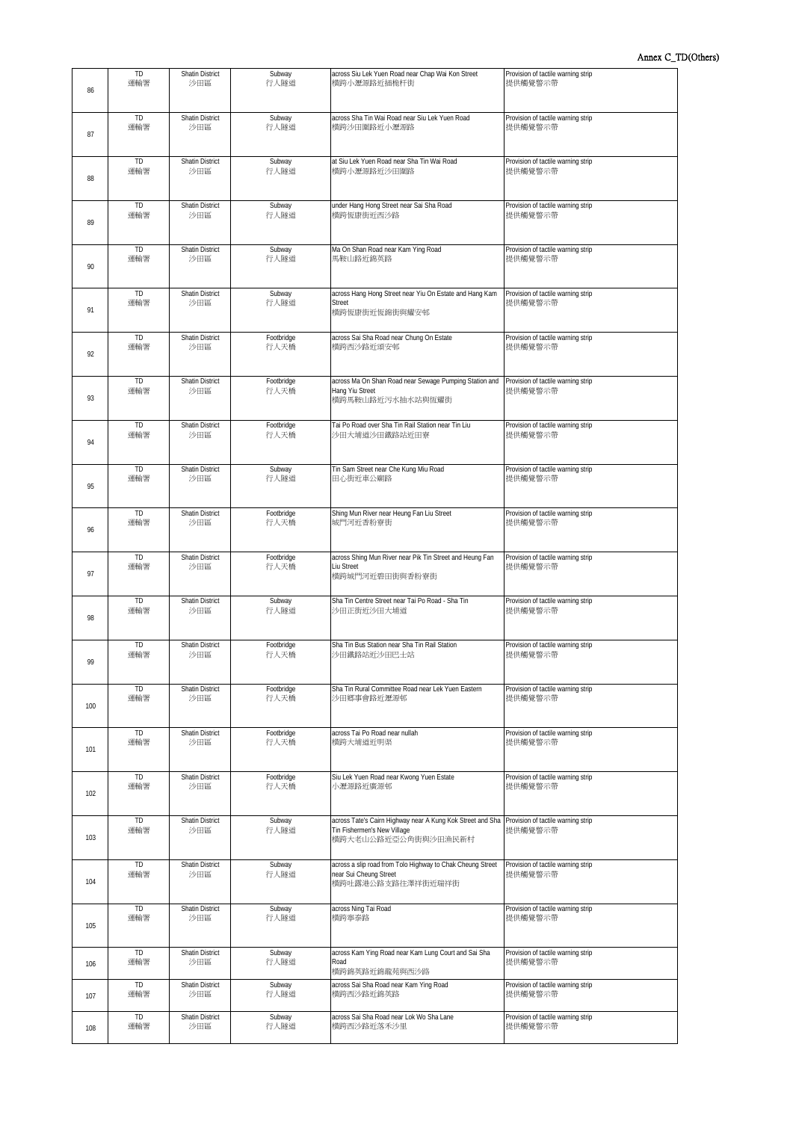| 86  | TD               | Shatin District               | Subway             | across Siu Lek Yuen Road near Chap Wai Kon Street                                                                                                   | Provision of tactile warning strip            |
|-----|------------------|-------------------------------|--------------------|-----------------------------------------------------------------------------------------------------------------------------------------------------|-----------------------------------------------|
|     | 運輸署              | 沙田區                           | 行人隧道               | 横跨小瀝源路近插桅杆街                                                                                                                                         | 提供觸覺警示帶                                       |
| 87  | <b>TD</b>        | <b>Shatin District</b>        | Subway             | across Sha Tin Wai Road near Siu Lek Yuen Road                                                                                                      | Provision of tactile warning strip            |
|     | 運輸署              | 沙田區                           | 行人隧道               | 横跨沙田圍路近小瀝源路                                                                                                                                         | 提供觸覺警示帶                                       |
| 88  | TD               | <b>Shatin District</b>        | Subway             | at Siu Lek Yuen Road near Sha Tin Wai Road                                                                                                          | Provision of tactile warning strip            |
|     | 運輸署              | 沙田區                           | 行人隧道               | 横跨小瀝源路近沙田圍路                                                                                                                                         | 提供觸覺警示帶                                       |
| 89  | TD               | <b>Shatin District</b>        | Subway             | under Hang Hong Street near Sai Sha Road                                                                                                            | Provision of tactile warning strip            |
|     | 運輸署              | 沙田區                           | 行人隊道               | 横跨恆康街近西沙路                                                                                                                                           | 提供觸覺警示帶                                       |
| 90  | <b>TD</b>        | <b>Shatin District</b>        | Subway             | Ma On Shan Road near Kam Ying Road                                                                                                                  | Provision of tactile warning strip            |
|     | 運輸署              | 沙田區                           | 行人隧道               | 馬鞍山路近錦英路                                                                                                                                            | 提供觸覺警示帶                                       |
| 91  | TD<br>運輸署        | <b>Shatin District</b><br>沙田區 | Subway<br>行人隧道     | across Hang Hong Street near Yiu On Estate and Hang Kam<br>Street<br>横跨恆康街近恆錦街與耀安邨                                                                  | Provision of tactile warning strip<br>提供觸覺警示帶 |
| 92  | <b>TD</b>        | <b>Shatin District</b>        | Footbridge         | across Sai Sha Road near Chung On Estate                                                                                                            | Provision of tactile warning strip            |
|     | 運輸署              | 沙田區                           | 行人天橋               | 横跨西沙路近頌安邨                                                                                                                                           | 提供觸覺警示帶                                       |
| 93  | <b>TD</b><br>運輸署 | <b>Shatin District</b><br>沙田區 | Footbridge<br>行人天橋 | across Ma On Shan Road near Sewage Pumping Station and<br>Hang Yiu Street<br>横跨馬鞍山路近污水抽水站與恆耀街                                                       | Provision of tactile warning strip<br>提供觸覺警示帶 |
| 94  | TD               | <b>Shatin District</b>        | Footbridge         | Tai Po Road over Sha Tin Rail Station near Tin Liu                                                                                                  | Provision of tactile warning strip            |
|     | 運輸署              | 沙田區                           | 行人天橋               | 沙田大埔道沙田鐵路站折田寮                                                                                                                                       | 提供觸覺警示帶                                       |
| 95  | <b>TD</b>        | <b>Shatin District</b>        | Subway             | Tin Sam Street near Che Kung Miu Road                                                                                                               | Provision of tactile warning strip            |
|     | 運輸署              | 沙田區                           | 行人隧道               | 田心街近車公廟路                                                                                                                                            | 提供觸覺警示帶                                       |
| 96  | TD               | <b>Shatin District</b>        | Footbridge         | Shing Mun River near Heung Fan Liu Street                                                                                                           | Provision of tactile warning strip            |
|     | 運輸署              | 沙田區                           | 行人天橋               | 城門河近香粉寮街                                                                                                                                            | 提供觸覺警示帶                                       |
| 97  | <b>TD</b><br>運輸署 | <b>Shatin District</b><br>沙田區 | Footbridge<br>行人天橋 | across Shing Mun River near Pik Tin Street and Heung Fan<br>Liu Street<br>横跨城門河近碧田街與香粉寮街                                                            | Provision of tactile warning strip<br>提供觸覺警示帶 |
| 98  | <b>TD</b>        | <b>Shatin District</b>        | Subway             | Sha Tin Centre Street near Tai Po Road - Sha Tin                                                                                                    | Provision of tactile warning strip            |
|     | 運輸署              | 沙田區                           | 行人隧道               | 沙田正街近沙田大埔道                                                                                                                                          | 提供觸覺警示帶                                       |
| 99  | <b>TD</b>        | <b>Shatin District</b>        | Footbridge         | Sha Tin Bus Station near Sha Tin Rail Station                                                                                                       | Provision of tactile warning strip            |
|     | 運輸署              | 沙田區                           | 行人天橋               | 沙田鐵路站近沙田巴士站                                                                                                                                         | 提供觸覺警示帶                                       |
| 100 | TD               | <b>Shatin District</b>        | Footbridge         | Sha Tin Rural Committee Road near Lek Yuen Eastern                                                                                                  | Provision of tactile warning strip            |
|     | 運輸署              | 沙田區                           | 行人天橋               | 沙田鄉事會路折瀝源邨                                                                                                                                          | 提供觸覺警示帶                                       |
| 101 | <b>TD</b>        | <b>Shatin District</b>        | Footbridge         | across Tai Po Road near nullah                                                                                                                      | Provision of tactile warning strip            |
|     | 運輸署              | 沙田區                           | 行人天橋               | 横跨大埔道近明渠                                                                                                                                            | 提供觸覺警示帶                                       |
| 102 | TD               | <b>Shatin District</b>        | Footbridge         | Siu Lek Yuen Road near Kwong Yuen Estate                                                                                                            | Provision of tactile warning strip            |
|     | 運輸署              | 沙田區                           | 行人天橋               | 小瀝源路近廣源邨                                                                                                                                            | 提供觸覺警示帶                                       |
| 103 | <b>TD</b><br>運輸署 | <b>Shatin District</b><br>沙田區 | Subway<br>行人隊道     | across Tate's Cairn Highway near A Kung Kok Street and Sha Provision of tactile warning strip<br>Tin Fishermen's New Village<br>横跨大老山公路近亞公角街與沙田漁民新村 | 提供觸覺警示帶                                       |
| 104 | TD<br>運輸署        | <b>Shatin District</b><br>沙田區 | Subway<br>行人隧道     | across a slip road from Tolo Highway to Chak Cheung Street<br>near Sui Cheung Street<br>横跨吐露港公路支路往澤祥街近瑞祥街                                           | Provision of tactile warning strip<br>提供觸覺警示帶 |
| 105 | <b>TD</b>        | <b>Shatin District</b>        | Subway             | across Ning Tai Road                                                                                                                                | Provision of tactile warning strip            |
|     | 運輸署              | 沙田區                           | 行人隧道               | 横跨寧泰路                                                                                                                                               | 提供觸覺警示帶                                       |
| 106 | <b>TD</b><br>運輸署 | <b>Shatin District</b><br>沙田區 | Subway<br>行人隧道     | across Kam Ying Road near Kam Lung Court and Sai Sha<br>Road<br>横跨錦英路近錦龍苑與西沙路                                                                       | Provision of tactile warning strip<br>提供觸覺警示帶 |
| 107 | <b>TD</b>        | <b>Shatin District</b>        | Subway             | across Sai Sha Road near Kam Ying Road                                                                                                              | Provision of tactile warning strip            |
|     | 運輸署              | 沙田區                           | 行人隧道               | 横跨西沙路近錦英路                                                                                                                                           | 提供觸覺警示帶                                       |
| 108 | <b>TD</b>        | <b>Shatin District</b>        | Subway             | across Sai Sha Road near Lok Wo Sha Lane                                                                                                            | Provision of tactile warning strip            |
|     | 運輸署              | 沙田區                           | 行人隧道               | 横跨西沙路近落禾沙里                                                                                                                                          | 提供觸覺警示帶                                       |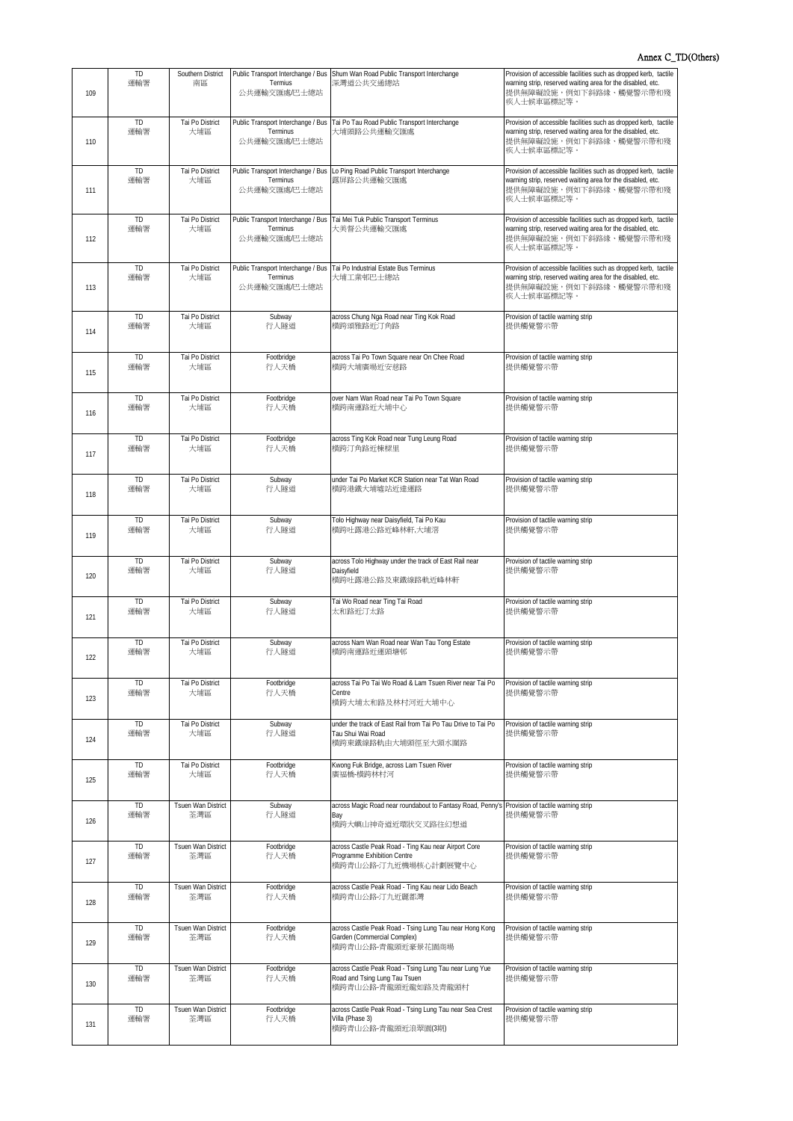## Annex C\_TD(Others)

| 109 | TD<br>運輸署        | Southern District<br>南區   | Termius<br>公共運輸交匯處/巴士總站                                        | Public Transport Interchange / Bus Shum Wan Road Public Transport Interchange<br>深灣道公共交通總站                                 | Provision of accessible facilities such as dropped kerb, tactile<br>warning strip, reserved waiting area for the disabled, etc.<br>提供無障礙設施,例如下斜路緣、觸覺警示帶和殘<br>疾人士候車區標記等。 |
|-----|------------------|---------------------------|----------------------------------------------------------------|----------------------------------------------------------------------------------------------------------------------------|-------------------------------------------------------------------------------------------------------------------------------------------------------------------------|
| 110 | TD<br>運輸署        | Tai Po District<br>大埔區    | Public Transport Interchange / Bus<br>Terminus<br>公共運輸交匯處/巴士總站 | Tai Po Tau Road Public Transport Interchange<br>大埔頭路公共運輸交匯處                                                                | Provision of accessible facilities such as dropped kerb, tactile<br>warning strip, reserved waiting area for the disabled, etc.<br>提供無障礙設施,例如下斜路緣、觸覺警示帶和殘<br>疾人士候車區標記等。 |
| 111 | <b>TD</b><br>運輸署 | Tai Po District<br>大埔區    | Terminus<br>公共運輸交匯處/巴士總站                                       | Public Transport Interchange / Bus Lo Ping Road Public Transport Interchange<br>露屏路公共運輸交匯處                                 | Provision of accessible facilities such as dropped kerb, tactile<br>warning strip, reserved waiting area for the disabled, etc.<br>提供無障礙設施,例如下斜路緣、觸覺警示帶和殘<br>疾人士候車區標記等。 |
| 112 | TD<br>運輸署        | Tai Po District<br>大埔區    | Public Transport Interchange / Bus<br>Terminus<br>公共運輸交匯處/巴士總站 | Tai Mei Tuk Public Transport Terminus<br>大美督公共運輸交匯處                                                                        | Provision of accessible facilities such as dropped kerb, tactile<br>warning strip, reserved waiting area for the disabled, etc.<br>提供無障礙設施,例如下斜路緣、觸覺警示帶和殘<br>疾人士候車區標記等。 |
| 113 | <b>TD</b><br>運輸署 | Tai Po District<br>大埔區    | Public Transport Interchange / Bus<br>Terminus<br>公共運輸交匯處/巴士總站 | Tai Po Industrial Estate Bus Terminus<br>大埔工業邨巴士總站                                                                         | Provision of accessible facilities such as dropped kerb, tactile<br>warning strip, reserved waiting area for the disabled, etc.<br>提供無障礙設施,例如下斜路緣、觸覺警示帶和殘<br>疾人士候車區標記等。 |
| 114 | <b>TD</b><br>運輸署 | Tai Po District<br>大埔區    | Subway<br>行人隧道                                                 | across Chung Nga Road near Ting Kok Road<br>横跨頌雅路折汀角路                                                                      | Provision of tactile warning strip<br>提供觸覺警示帶                                                                                                                           |
| 115 | TD<br>運輸署        | Tai Po District<br>大埔區    | Footbridge<br>行人天橋                                             | across Tai Po Town Square near On Chee Road<br>横跨大埔廣場近安慈路                                                                  | Provision of tactile warning strip<br>提供觸覺警示帶                                                                                                                           |
| 116 | <b>TD</b><br>運輸署 | Tai Po District<br>大埔區    | Footbridge<br>行人天橋                                             | over Nam Wan Road near Tai Po Town Square<br>横跨南運路近大埔中心                                                                    | Provision of tactile warning strip<br>提供觸覺警示帶                                                                                                                           |
| 117 | <b>TD</b><br>運輸署 | Tai Po District<br>大埔區    | Footbridge<br>行人天橋                                             | across Ting Kok Road near Tung Leung Road<br>横跨汀角路近棟樑里                                                                     | Provision of tactile warning strip<br>提供觸覺警示帶                                                                                                                           |
| 118 | <b>TD</b><br>運輸署 | Tai Po District<br>大埔區    | Subway<br>行人隧道                                                 | under Tai Po Market KCR Station near Tat Wan Road<br>横跨港鐵大埔墟站近達運路                                                          | Provision of tactile warning strip<br>提供觸覺警示帶                                                                                                                           |
| 119 | <b>TD</b><br>運輸署 | Tai Po District<br>大埔區    | Subway<br>行人隧道                                                 | Tolo Highway near Daisyfield, Tai Po Kau<br>横跨吐露港公路近峰林軒,大埔滘                                                                | Provision of tactile warning strip<br>提供觸覺警示帶                                                                                                                           |
| 120 | TD<br>運輸署        | Tai Po District<br>大埔區    | Subway<br>行人隧道                                                 | across Tolo Highway under the track of East Rail near<br>Daisyfield<br>横跨吐露港公路及東鐵線路軌近峰林軒                                   | Provision of tactile warning strip<br>提供觸覺警示帶                                                                                                                           |
| 121 | <b>TD</b><br>運輸署 | Tai Po District<br>大埔區    | Subway<br>行人隧道                                                 | Tai Wo Road near Ting Tai Road<br>太和路近汀太路                                                                                  | Provision of tactile warning strip<br>提供觸覺警示帶                                                                                                                           |
| 122 | TD<br>運輸署        | Tai Po District<br>大埔區    | Subway<br>行人隧道                                                 | across Nam Wan Road near Wan Tau Tong Estate<br>横跨南運路近運頭塘邨                                                                 | Provision of tactile warning strip<br>提供觸覺警示帶                                                                                                                           |
| 123 | <b>TD</b><br>運輸署 | Tai Po District<br>大埔區    | Footbridge<br>行人天橋                                             | across Tai Po Tai Wo Road & Lam Tsuen River near Tai Po<br>Centre<br>横跨大埔太和路及林村河近大埔中心                                      | Provision of tactile warning strip<br>提供觸覺警示帶                                                                                                                           |
| 124 | <b>TD</b><br>運輸署 | Tai Po District<br>大埔區    | Subway<br>行人隧道                                                 | under the track of East Rail from Tai Po Tau Drive to Tai Po<br>Tau Shui Wai Road<br>横跨東鐵線路軌由大埔頭徑至大頭水圍路                    | Provision of tactile warning strip<br>提供觸覺警示帶                                                                                                                           |
| 125 | TD<br>運輸署        | Tai Po District<br>大埔區    | Footbridge<br>行人天橋                                             | Kwong Fuk Bridge, across Lam Tsuen River<br>廣福橋-横跨林村河                                                                      | Provision of tactile warning strip<br>提供觸覺警示帶                                                                                                                           |
| 126 | <b>TD</b><br>運輸署 | Tsuen Wan District<br>荃灣區 | Subway<br>行人隧道                                                 | across Magic Road near roundabout to Fantasy Road, Penny's Provision of tactile warning strip<br>Bay<br>横跨大嶼山神奇道近環狀交叉路往幻想道 | 提供觸覺警示帶                                                                                                                                                                 |
| 127 | <b>TD</b><br>運輸署 | Tsuen Wan District<br>荃灣區 | Footbridge<br>行人天橋                                             | across Castle Peak Road - Ting Kau near Airport Core<br>Programme Exhibition Centre<br>横跨青山公路-汀九近機場核心計劃展覽中心                | Provision of tactile warning strip<br>提供觸覺警示帶                                                                                                                           |
| 128 | <b>TD</b><br>運輸署 | Tsuen Wan District<br>荃灣區 | Footbridge<br>行人天橋                                             | across Castle Peak Road - Ting Kau near Lido Beach<br>横跨青山公路-汀九近麗都灣                                                        | Provision of tactile warning strip<br>提供觸覺警示帶                                                                                                                           |
| 129 | <b>TD</b><br>運輸署 | Tsuen Wan District<br>荃灣區 | Footbridge<br>行人天橋                                             | across Castle Peak Road - Tsing Lung Tau near Hong Kong<br>Garden (Commercial Complex)<br>横跨青山公路-青龍頭近豪景花園商場                | Provision of tactile warning strip<br>提供觸覺警示帶                                                                                                                           |
| 130 | <b>TD</b><br>運輸署 | Tsuen Wan District<br>荃灣區 | Footbridge<br>行人天橋                                             | across Castle Peak Road - Tsing Lung Tau near Lung Yue<br>Road and Tsing Lung Tau Tsuen<br>横跨青山公路·青龍頭近龍如路及青龍頭村             | Provision of tactile warning strip<br>提供觸覺警示帶                                                                                                                           |
| 131 | <b>TD</b><br>運輸署 | Tsuen Wan District<br>荃灣區 | Footbridge<br>行人天橋                                             | across Castle Peak Road - Tsing Lung Tau near Sea Crest<br>Villa (Phase 3)<br>横跨青山公路-青龍頭近浪翠園(3期)                           | Provision of tactile warning strip<br>提供觸覺警示帶                                                                                                                           |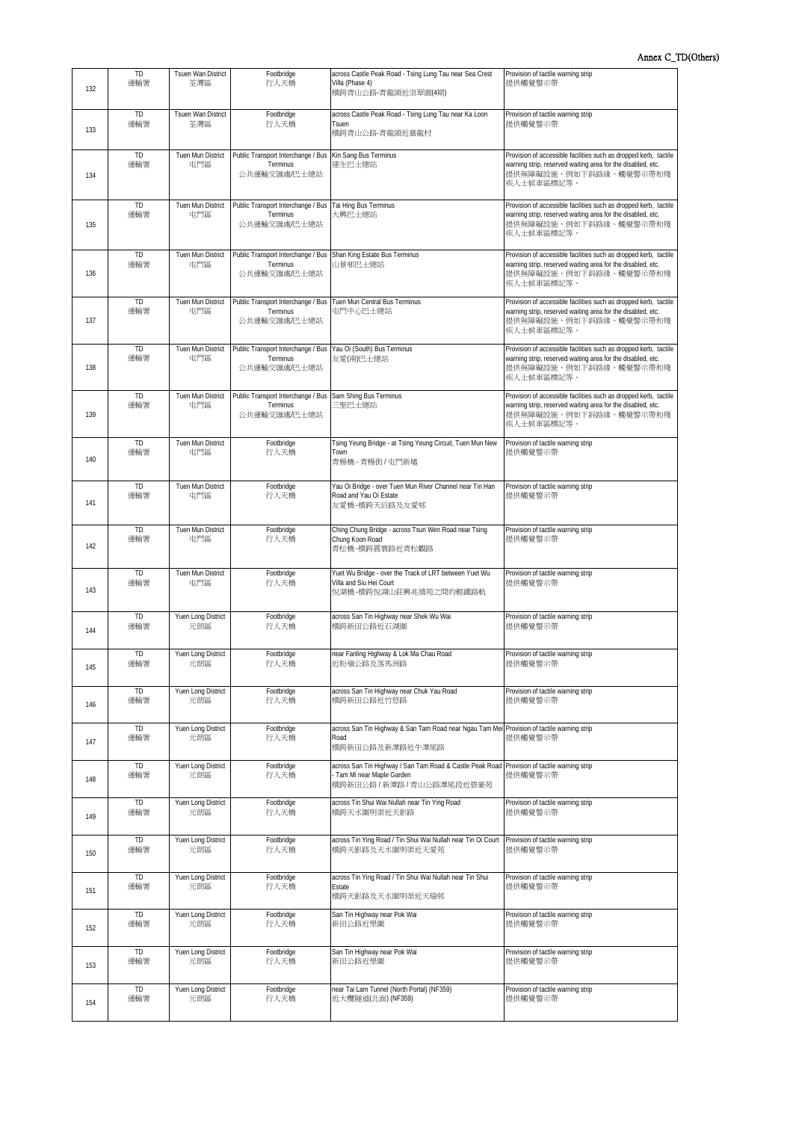| 132 | TD<br>運輸署        | Tsuen Wan District<br>荃灣區 | Footbridge<br>行人天橋                                                                           | across Castle Peak Road - Tsing Lung Tau near Sea Crest<br>Villa (Phase 4)<br>横跨青山公路-青龍頭近浪翠園(4期)                                                      | Provision of tactile warning strip<br>提供觸覺警示帶                                                                                                                           |
|-----|------------------|---------------------------|----------------------------------------------------------------------------------------------|-------------------------------------------------------------------------------------------------------------------------------------------------------|-------------------------------------------------------------------------------------------------------------------------------------------------------------------------|
| 133 | TD<br>運輸署        | Tsuen Wan District<br>荃灣區 | Footbridge<br>行人天橋                                                                           | across Castle Peak Road - Tsing Lung Tau near Ka Loon<br>Tsuen<br>横跨青山公路-青龍頭近嘉龍村                                                                      | Provision of tactile warning strip<br>提供觸覺警示帶                                                                                                                           |
| 134 | TD<br>運輸署        | Tuen Mun District<br>屯門區  | Public Transport Interchange / Bus Kin Sang Bus Terminus<br>Terminus<br>公共運輸交匯處/巴士總站         | 建生巴士總站                                                                                                                                                | Provision of accessible facilities such as dropped kerb, tactile<br>warning strip, reserved waiting area for the disabled, etc.<br>提供無障礙設施,例如下斜路緣、觸覺警示帶和殘<br>疾人士候車區標記等。 |
| 135 | TD<br>運輸署        | Tuen Mun District<br>屯門區  | Public Transport Interchange / Bus<br>Terminus<br>公共運輸交匯處/巴士總站                               | Tai Hing Bus Terminus<br>大興巴士總站                                                                                                                       | Provision of accessible facilities such as dropped kerb, tactile<br>warning strip, reserved waiting area for the disabled, etc.<br>提供無障礙設施,例如下斜路緣、觸覺警示帶和殘<br>疾人士候車區標記等。 |
| 136 | TD<br>運輸署        | Tuen Mun District<br>屯門區  | Public Transport Interchange / Bus<br>Terminus<br>公共運輸交匯處/巴士總站                               | Shan King Estate Bus Terminus<br>山景邨巴士總站                                                                                                              | Provision of accessible facilities such as dropped kerb, tactile<br>warning strip, reserved waiting area for the disabled, etc.<br>提供無障礙設施,例如下斜路緣、觸覺警示帶和殘<br>疾人士候車區標記等。 |
| 137 | <b>TD</b><br>運輸署 | Tuen Mun District<br>屯門區  | Public Transport Interchange / Bus Tuen Mun Central Bus Terminus<br>Terminus<br>公共運輸交匯處/巴士總站 | 屯門中心巴士總站                                                                                                                                              | Provision of accessible facilities such as dropped kerb, tactile<br>warning strip, reserved waiting area for the disabled, etc.<br>提供無障礙設施,例如下斜路緣、觸覺警示帶和殘<br>疾人士候車區標記等。 |
| 138 | TD<br>運輸署        | Tuen Mun District<br>屯門區  | Public Transport Interchange / Bus<br>Terminus<br>公共運輸交匯處/巴士總站                               | Yau Oi (South) Bus Terminus<br>友愛(南)巴士總站                                                                                                              | Provision of accessible facilities such as dropped kerb, tactile<br>warning strip, reserved waiting area for the disabled, etc.<br>提供無障礙設施,例如下斜路緣、觸覺警示帶和殘<br>疾人士候車區標記等。 |
| 139 | TD<br>運輸署        | Tuen Mun District<br>屯門區  | Public Transport Interchange / Bus<br>Terminus<br>公共運輸交匯處/巴士總站                               | Sam Shing Bus Terminus<br>三聖巴士總站                                                                                                                      | Provision of accessible facilities such as dropped kerb, tactile<br>warning strip, reserved waiting area for the disabled, etc.<br>提供無障礙設施,例如下斜路緣、觸覺警示帶和殘<br>疾人士候車區標記等。 |
| 140 | TD<br>運輸署        | Tuen Mun District<br>屯門區  | Footbridge<br>行人天橋                                                                           | Tsing Yeung Bridge - at Tsing Yeung Circuit, Tuen Mun New<br>Town<br>青楊橋 - 青楊街 / 屯門新墟                                                                 | Provision of tactile warning strip<br>提供觸覺警示帶                                                                                                                           |
| 141 | TD<br>運輸署        | Tuen Mun District<br>屯門區  | Footbridge<br>行人天橋                                                                           | Yau Oi Bridge - over Tuen Mun River Channel near Tin Han<br>Road and Yau Oi Estate<br>友愛橋 -横跨天后路及友愛邨                                                  | Provision of tactile warning strip<br>提供觸覺警示帶                                                                                                                           |
| 142 | TD<br>運輸署        | Tuen Mun District<br>屯門區  | Footbridge<br>行人天橋                                                                           | Ching Chung Bridge - across Tsun Wen Road near Tsing<br>Chung Koon Road<br>青松橋 横跨震寰路近青松觀路                                                             | Provision of tactile warning strip<br>提供觸覺警示帶                                                                                                                           |
| 143 | <b>TD</b><br>運輸署 | Tuen Mun District<br>屯門區  | Footbridge<br>行人天橋                                                                           | Yuet Wu Bridge - over the Track of LRT between Yuet Wu<br>Villa and Siu Hei Court<br>悅湖橋-横跨悅湖山莊興兆禧苑之間的輕鐵路軌                                            | Provision of tactile warning strip<br>提供觸覺警示帶                                                                                                                           |
| 144 | TD<br>運輸署        | Yuen Long District<br>元朗區 | Footbridge<br>行人天橋                                                                           | across San Tin Highway near Shek Wu Wai<br>横跨新田公路近石湖圍                                                                                                 | Provision of tactile warning strip<br>提供觸覺警示帶                                                                                                                           |
| 145 | TD<br>運輸署        | Yuen Long District<br>元朗區 | Footbridge<br>行人天橋                                                                           | near Fanling Highway & Lok Ma Chau Road<br>近粉嶺公路及落馬洲路                                                                                                 | Provision of tactile warning strip<br>提供觸覺警示帶                                                                                                                           |
| 146 | TD<br>運輸署        | Yuen Long District<br>元朗區 | Footbridge<br>行人天橋                                                                           | across San Tin Highway near Chuk Yau Road<br>横跨新田公路近竹悠路                                                                                               | Provision of tactile warning strip<br>提供觸覺警示帶                                                                                                                           |
| 147 | TD<br>運輸署        | Yuen Long District<br>元朗區 | Footbridge<br>行人天橋                                                                           | across San Tin Highway & San Tam Road near Ngau Tam Mei Provision of tactile warning strip<br>Road<br>横跨新田公路及新潭路近牛潭尾路                                 | 提供觸覺警示帶                                                                                                                                                                 |
| 148 | TD<br>運輸署        | Yuen Long District<br>元朗區 | Footbridge<br>行人天橋                                                                           | across San Tin Highway / San Tam Road & Castle Peak Road Provision of tactile warning strip<br>Tam Mi near Maple Garden<br>横跨新田公路 / 新潭路 / 青山公路潭尾段近碧豪苑 | 提供觸覺警示帶                                                                                                                                                                 |
| 149 | TD<br>運輸署        | Yuen Long District<br>元朗區 | Footbridge<br>行人天橋                                                                           | across Tin Shui Wai Nullah near Tin Ying Road<br>横跨天水圍明渠近天影路                                                                                          | Provision of tactile warning strip<br>提供觸覺警示帶                                                                                                                           |
| 150 | TD<br>運輸署        | Yuen Long District<br>元朗區 | Footbridge<br>行人天橋                                                                           | across Tin Ying Road / Tin Shui Wai Nullah near Tin Oi Court<br>横跨天影路及天水圍明渠近天愛苑                                                                       | Provision of tactile warning strip<br>提供觸覺警示帶                                                                                                                           |
| 151 | TD<br>運輸署        | Yuen Long District<br>元朗區 | Footbridge<br>行人天橋                                                                           | across Tin Ying Road / Tin Shui Wai Nullah near Tin Shui<br>Estate<br>横跨天影路及天水圍明渠近天瑞邨                                                                 | Provision of tactile warning strip<br>提供觸覺警示帶                                                                                                                           |
| 152 | TD<br>運輸署        | Yuen Long District<br>元朗區 | Footbridge<br>行人天橋                                                                           | San Tin Highway near Pok Wai<br>新田公路近壆圍                                                                                                               | Provision of tactile warning strip<br>提供觸覺警示帶                                                                                                                           |
| 153 | TD<br>運輸署        | Yuen Long District<br>元朗區 | Footbridge<br>行人天橋                                                                           | San Tin Highway near Pok Wai<br>新田公路近壆圍                                                                                                               | Provision of tactile warning strip<br>提供觸覺警示帶                                                                                                                           |
| 154 | TD<br>運輸署        | Yuen Long District<br>元朗區 | Footbridge<br>行人天橋                                                                           | near Tai Lam Tunnel (North Portal) (NF359)<br>近大欖隧道(北面) (NF359)                                                                                       | Provision of tactile warning strip<br>提供觸覺警示帶                                                                                                                           |